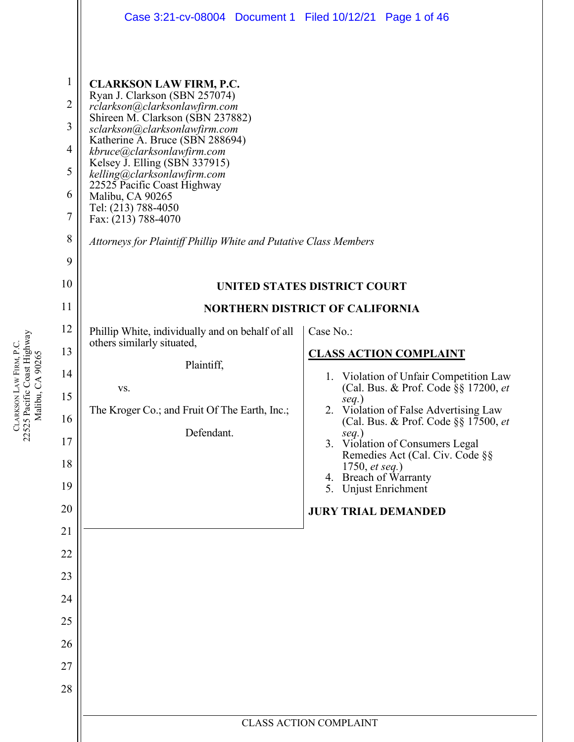|                                                                                  | Case 3:21-cv-08004 Document 1 Filed 10/12/21 Page 1 of 46                                                                                                                                                                                                                                                                                                                                                                                                                   |                                                                                              |  |
|----------------------------------------------------------------------------------|-----------------------------------------------------------------------------------------------------------------------------------------------------------------------------------------------------------------------------------------------------------------------------------------------------------------------------------------------------------------------------------------------------------------------------------------------------------------------------|----------------------------------------------------------------------------------------------|--|
| 1<br>$\overline{2}$<br>3<br>$\overline{4}$<br>5<br>6<br>$\overline{7}$<br>8<br>9 | <b>CLARKSON LAW FIRM, P.C.</b><br>Ryan J. Clarkson (SBN 257074)<br>rclarkson@clarksonlawfirm.com<br>Shireen M. Clarkson (SBN 237882)<br>sclarkson@clarksonlawfirm.com<br>Katherine A. Bruce (SBN 288694)<br>kbruce@clarksonlawfirm.com<br>Kelsey J. Elling (SBN 337915)<br>kelling@clarksonlawfirm.com<br>22525 Pacific Coast Highway<br>Malibu, CA 90265<br>Tel: (213) 788-4050<br>Fax: (213) 788-4070<br>Attorneys for Plaintiff Phillip White and Putative Class Members |                                                                                              |  |
| 10                                                                               | UNITED STATES DISTRICT COURT                                                                                                                                                                                                                                                                                                                                                                                                                                                |                                                                                              |  |
| 11                                                                               |                                                                                                                                                                                                                                                                                                                                                                                                                                                                             | <b>NORTHERN DISTRICT OF CALIFORNIA</b>                                                       |  |
| 12                                                                               | Phillip White, individually and on behalf of all<br>others similarly situated,                                                                                                                                                                                                                                                                                                                                                                                              | Case No.:                                                                                    |  |
| 13                                                                               | Plaintiff,                                                                                                                                                                                                                                                                                                                                                                                                                                                                  | <b>CLASS ACTION COMPLAINT</b>                                                                |  |
| 14                                                                               | VS.                                                                                                                                                                                                                                                                                                                                                                                                                                                                         | Violation of Unfair Competition Law<br>1.<br>(Cal. Bus. & Prof. Code §§ 17200, et            |  |
| 15                                                                               | The Kroger Co.; and Fruit Of The Earth, Inc.;                                                                                                                                                                                                                                                                                                                                                                                                                               | $seq.$ )<br>2. Violation of False Advertising Law                                            |  |
| 16<br>17                                                                         | Defendant.                                                                                                                                                                                                                                                                                                                                                                                                                                                                  | (Cal. Bus. & Prof. Code §§ 17500, et<br>$seq.$ )                                             |  |
| 18                                                                               |                                                                                                                                                                                                                                                                                                                                                                                                                                                                             | 3. Violation of Consumers Legal<br>Remedies Act (Cal. Civ. Code §§<br>1750, <i>et seq.</i> ) |  |
| 19                                                                               |                                                                                                                                                                                                                                                                                                                                                                                                                                                                             | 4. Breach of Warranty<br>5. Unjust Enrichment                                                |  |
| 20                                                                               |                                                                                                                                                                                                                                                                                                                                                                                                                                                                             | <b>JURY TRIAL DEMANDED</b>                                                                   |  |
| 21                                                                               |                                                                                                                                                                                                                                                                                                                                                                                                                                                                             |                                                                                              |  |
| 22                                                                               |                                                                                                                                                                                                                                                                                                                                                                                                                                                                             |                                                                                              |  |
| 23                                                                               |                                                                                                                                                                                                                                                                                                                                                                                                                                                                             |                                                                                              |  |
| 24                                                                               |                                                                                                                                                                                                                                                                                                                                                                                                                                                                             |                                                                                              |  |
| 25                                                                               |                                                                                                                                                                                                                                                                                                                                                                                                                                                                             |                                                                                              |  |
| 26                                                                               |                                                                                                                                                                                                                                                                                                                                                                                                                                                                             |                                                                                              |  |
| 27<br>28                                                                         |                                                                                                                                                                                                                                                                                                                                                                                                                                                                             |                                                                                              |  |
|                                                                                  |                                                                                                                                                                                                                                                                                                                                                                                                                                                                             |                                                                                              |  |
|                                                                                  |                                                                                                                                                                                                                                                                                                                                                                                                                                                                             | <b>CLASS ACTION COMPLAINT</b>                                                                |  |

CLARKSON LAW FIRM, P.C.<br>22525 Pacific Coast Highway<br>Malibu, CA 90265 22525 Pacific Coast Highway LAW FIRM, P.C. Malibu, CA 90265 **CLARKSON**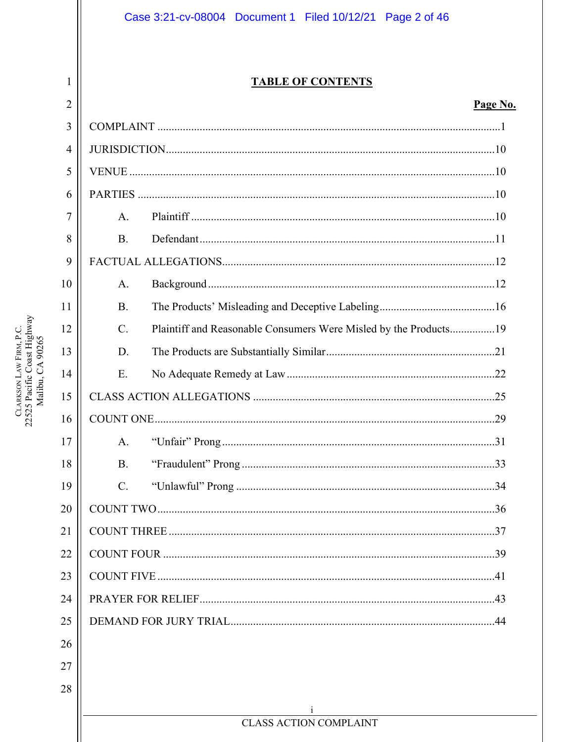# Case 3:21-cv-08004 Document 1 Filed 10/12/21 Page 2 of 46

# **TABLE OF CONTENTS**

# Page No.

| 2              |             |                                                                  | Page No |
|----------------|-------------|------------------------------------------------------------------|---------|
| 3              |             |                                                                  |         |
| $\overline{4}$ |             |                                                                  |         |
| 5              |             |                                                                  |         |
| 6              |             |                                                                  |         |
| 7              | A.          |                                                                  |         |
| 8              | <b>B.</b>   |                                                                  |         |
| 9              |             |                                                                  |         |
| 10             | A.          |                                                                  |         |
| 11             | <b>B.</b>   |                                                                  |         |
| 12             | $C_{\cdot}$ | Plaintiff and Reasonable Consumers Were Misled by the Products19 |         |
| 13             | D.          |                                                                  |         |
| 14             | Ε.          |                                                                  |         |
| 15             |             |                                                                  |         |
| 16             |             |                                                                  |         |
| 17             | A.          |                                                                  |         |
| 18             | <b>B.</b>   |                                                                  |         |
| 19             | $C$ .       |                                                                  |         |
| 20             |             |                                                                  |         |
| 21             |             |                                                                  |         |
| 22             |             |                                                                  |         |
| 23             |             |                                                                  |         |
| 24             |             |                                                                  |         |
| 25             |             |                                                                  |         |
| 26             |             |                                                                  |         |
| 27             |             |                                                                  |         |
| 28             |             |                                                                  |         |
|                |             | <b>CLASS ACTION COMPLAINT</b>                                    |         |
|                |             |                                                                  |         |

 $\mathbf{1}$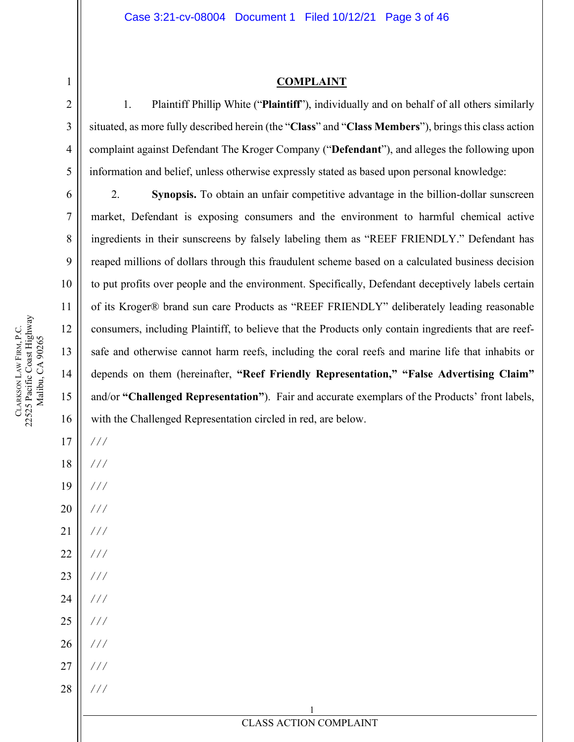#### **COMPLAINT**

1. Plaintiff Phillip White ("**Plaintiff**"), individually and on behalf of all others similarly situated, as more fully described herein (the "**Class**" and "**Class Members**"), brings this class action complaint against Defendant The Kroger Company ("**Defendant**"), and alleges the following upon information and belief, unless otherwise expressly stated as based upon personal knowledge:

2. **Synopsis.** To obtain an unfair competitive advantage in the billion-dollar sunscreen market, Defendant is exposing consumers and the environment to harmful chemical active ingredients in their sunscreens by falsely labeling them as "REEF FRIENDLY." Defendant has reaped millions of dollars through this fraudulent scheme based on a calculated business decision to put profits over people and the environment. Specifically, Defendant deceptively labels certain of its Kroger® brand sun care Products as "REEF FRIENDLY" deliberately leading reasonable consumers, including Plaintiff, to believe that the Products only contain ingredients that are reefsafe and otherwise cannot harm reefs, including the coral reefs and marine life that inhabits or depends on them (hereinafter, **"Reef Friendly Representation," "False Advertising Claim"** and/or **"Challenged Representation"**). Fair and accurate exemplars of the Products' front labels, with the Challenged Representation circled in red, are below.

17

*/ / /*

*/ / /*

<span id="page-2-0"></span>1

2

3

4

5

6

7

8

9

10

11

12

13

14

15

16

- 19 20 21 22 23 */ / / / / / / / / / / / / / /*
- 24 */ / /*
- 25 26 */ / / / / /*
- 27 */ / /*
- 28 */ / /*

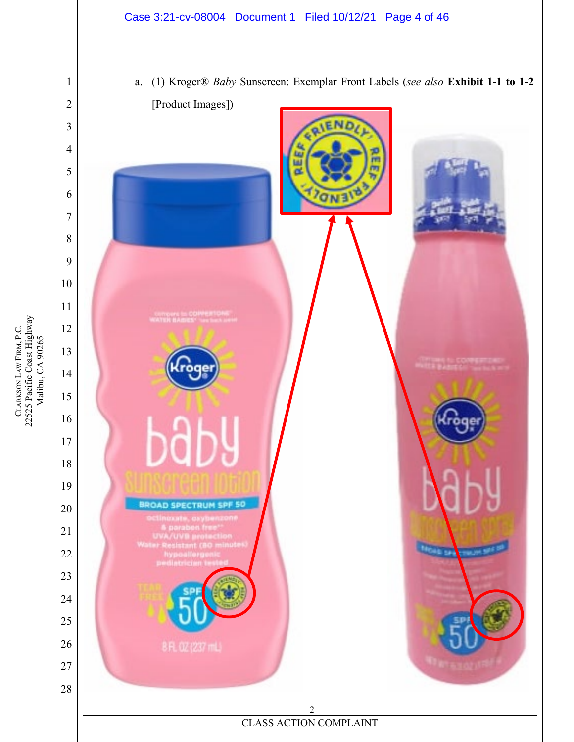

CLARKSON LAW FIRM, P.C.<br>22525 Pacific Coast Highway<br>Malibu, CA 90265 22525 Pacific Coast Highway LAW FIRM, P.C. Malibu, CA 90265 **CLARKSON**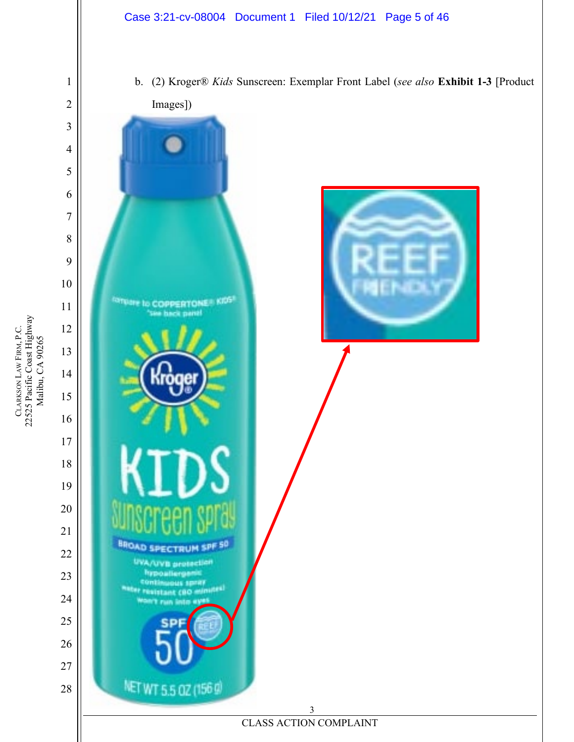

CLARKSON LAW FIRM, P.C.<br>22525 Pacific Coast Highway<br>Malibu, CA 90265 22525 Pacific Coast Highway LAW FIRM, P.C. Malibu, CA 90265 **CLARKSON** 

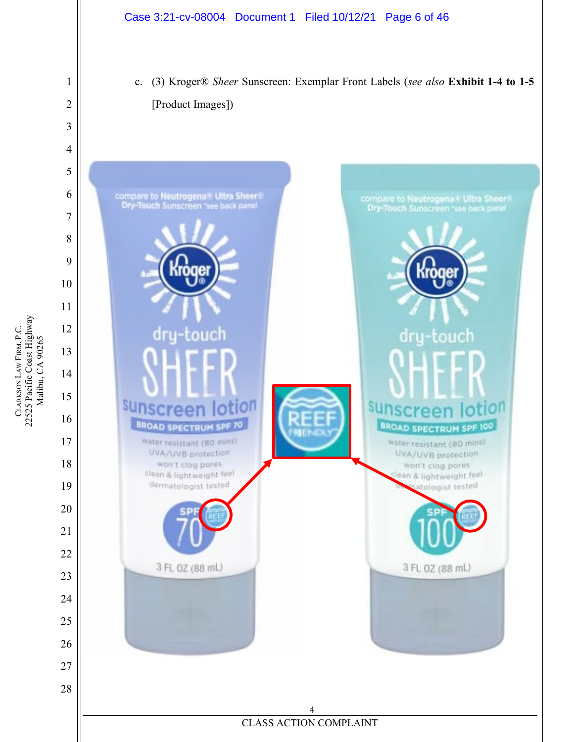

c. (3) Kroger® *Sheer* Sunscreen: Exemplar Front Labels (*see also* **Exhibit 1-4 to 1-5** [Product Images])



CLARKSON LAW FIRM, P.C.<br>22525 Pacific Coast Highway<br>Malibu, CA 90265 22525 Pacific Coast Highway LAW FIRM, P.C. Malibu, CA 90265 **CLARKSON**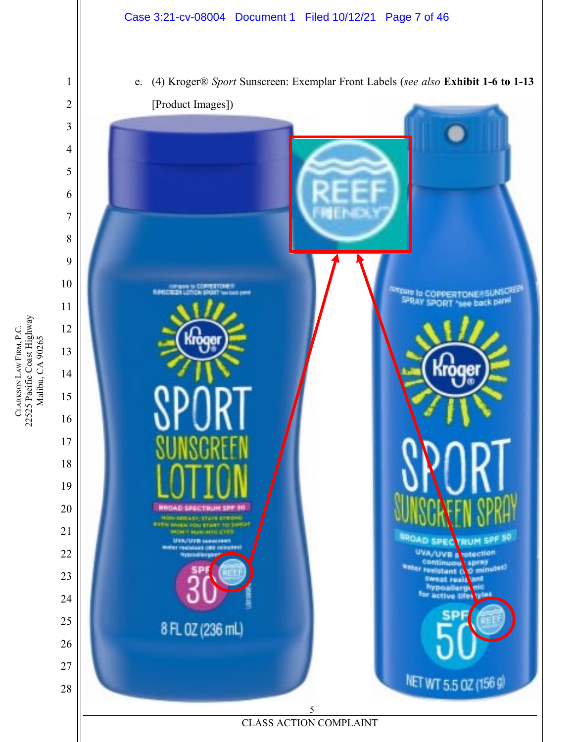



CLARKSON LAW FIRM, P.C.<br>22525 Pacific Coast Highway<br>Malibu, CA 90265 22525 Pacific Coast Highway LAW FIRM, P.C. Malibu, CA 90265 **CLARKSON**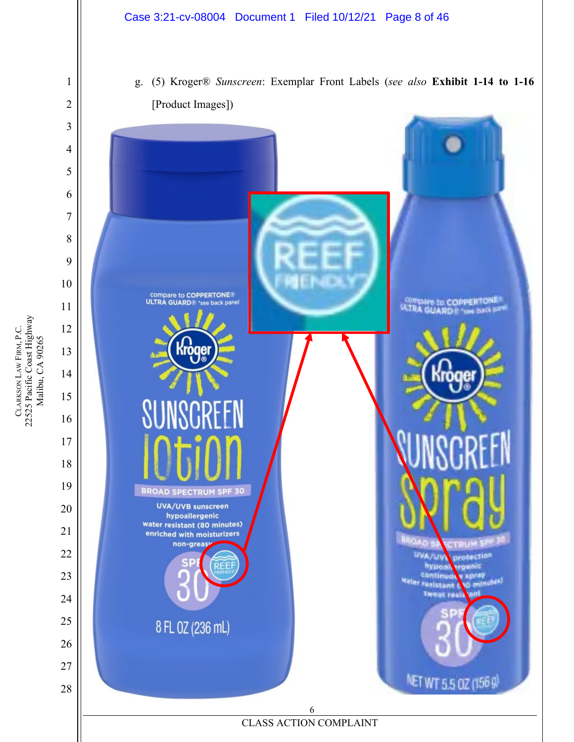

**CLARKSON** 

LAW FIRM, P.C.

22525 Pacific Coast Highway Malibu, CA 90265

CLARKSON LAW FIRM, P.C.<br>22525 Pacific Coast Highway<br>Malibu, CA 90265

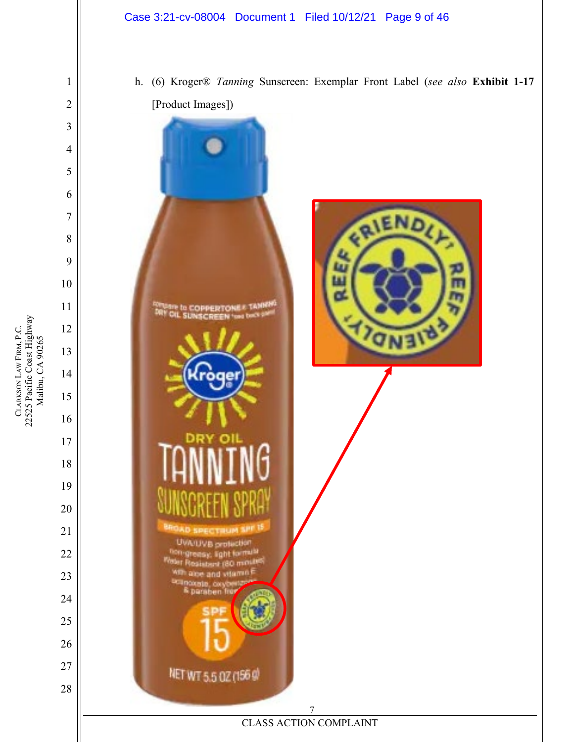## Case 3:21-cv-08004 Document 1 Filed 10/12/21 Page 9 of 46

 CLARKSON LAW FIRM, P.C.<br>22525 Pacific Coast Highway<br>Malibu, CA 90265 

**CLARKSON** 

LAW FIRM, P.C.

22525 Pacific Coast Highway Malibu, CA 90265

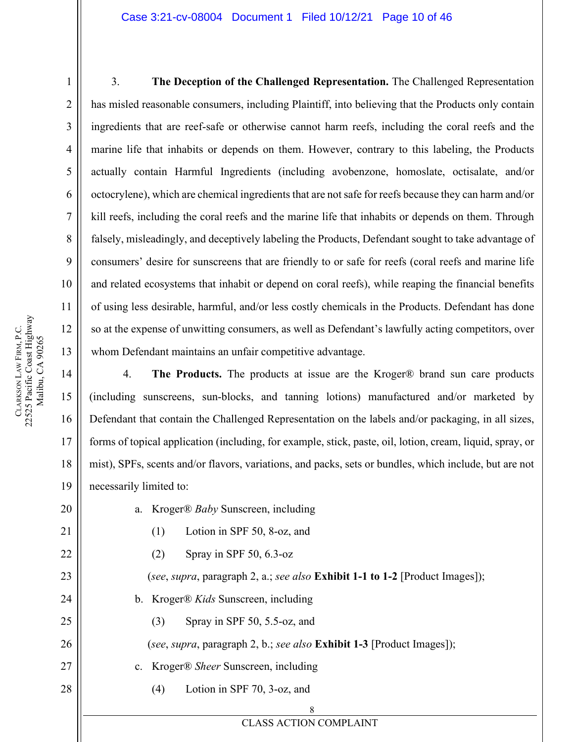#### Case 3:21-cv-08004 Document 1 Filed 10/12/21 Page 10 of 46

3. **The Deception of the Challenged Representation.** The Challenged Representation has misled reasonable consumers, including Plaintiff, into believing that the Products only contain ingredients that are reef-safe or otherwise cannot harm reefs, including the coral reefs and the marine life that inhabits or depends on them. However, contrary to this labeling, the Products actually contain Harmful Ingredients (including avobenzone, homoslate, octisalate, and/or octocrylene), which are chemical ingredients that are not safe for reefs because they can harm and/or kill reefs, including the coral reefs and the marine life that inhabits or depends on them. Through falsely, misleadingly, and deceptively labeling the Products, Defendant sought to take advantage of consumers' desire for sunscreens that are friendly to or safe for reefs (coral reefs and marine life and related ecosystems that inhabit or depend on coral reefs), while reaping the financial benefits of using less desirable, harmful, and/or less costly chemicals in the Products. Defendant has done so at the expense of unwitting consumers, as well as Defendant's lawfully acting competitors, over whom Defendant maintains an unfair competitive advantage.

4. **The Products.** The products at issue are the Kroger® brand sun care products (including sunscreens, sun-blocks, and tanning lotions) manufactured and/or marketed by Defendant that contain the Challenged Representation on the labels and/or packaging, in all sizes, forms of topical application (including, for example, stick, paste, oil, lotion, cream, liquid, spray, or mist), SPFs, scents and/or flavors, variations, and packs, sets or bundles, which include, but are not necessarily limited to:

| 20 | a. Kroger® Baby Sunscreen, including                                                |
|----|-------------------------------------------------------------------------------------|
| 21 | Lotion in SPF 50, 8-oz, and<br>(1)                                                  |
| 22 | Spray in SPF $50, 6.3$ -oz<br>(2)                                                   |
| 23 | (see, supra, paragraph 2, a.; see also <b>Exhibit 1-1 to 1-2</b> [Product Images]); |
| 24 | b. Kroger® Kids Sunscreen, including                                                |
| 25 | Spray in SPF $50$ , $5.5$ -oz, and<br>(3)                                           |
| 26 | (see, supra, paragraph 2, b.; see also <b>Exhibit 1-3</b> [Product Images]);        |
| 27 | c. Kroger® Sheer Sunscreen, including                                               |
| 28 | Lotion in SPF 70, 3-oz, and<br>(4)                                                  |
|    | 8                                                                                   |
|    | <b>CLASS ACTION COMPLAINT</b>                                                       |

1

2

3

4

5

6

7

8

9

10

11

12

13

14

15

16

17

18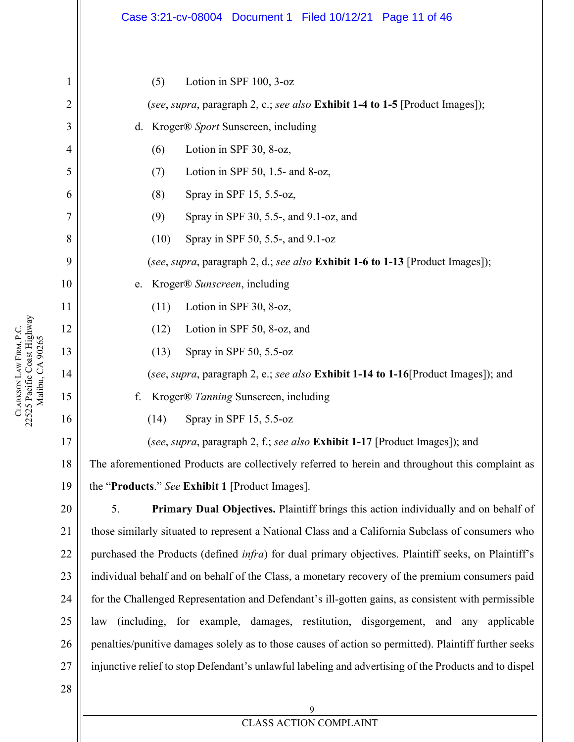|                | Case 3:21-cv-08004 Document 1 Filed 10/12/21 Page 11 of 46                                                  |  |
|----------------|-------------------------------------------------------------------------------------------------------------|--|
| 1              | Lotion in SPF 100, 3-oz<br>(5)                                                                              |  |
| 2              | (see, supra, paragraph 2, c.; see also Exhibit 1-4 to 1-5 [Product Images]);                                |  |
| 3              | d. Kroger® Sport Sunscreen, including                                                                       |  |
| $\overline{4}$ | Lotion in SPF 30, 8-oz,<br>(6)                                                                              |  |
| 5              | Lotion in SPF 50, 1.5- and 8-oz,<br>(7)                                                                     |  |
| 6              | Spray in SPF 15, 5.5-oz,<br>(8)                                                                             |  |
| 7              | Spray in SPF 30, 5.5-, and 9.1-oz, and<br>(9)                                                               |  |
| 8              | (10)<br>Spray in SPF 50, 5.5-, and 9.1-oz                                                                   |  |
| 9              | (see, supra, paragraph 2, d.; see also Exhibit 1-6 to 1-13 [Product Images]);                               |  |
| 10             | Kroger® Sunscreen, including<br>e.                                                                          |  |
| 11             | Lotion in SPF 30, 8-oz,<br>(11)                                                                             |  |
| 12             | Lotion in SPF 50, 8-oz, and<br>(12)                                                                         |  |
| 13             | Spray in SPF 50, 5.5-oz<br>(13)                                                                             |  |
| 14             | (see, supra, paragraph 2, e.; see also Exhibit 1-14 to 1-16 [Product Images]); and                          |  |
| 15             | f.<br>Kroger® Tanning Sunscreen, including                                                                  |  |
| 16             | Spray in SPF 15, 5.5-oz<br>(14)                                                                             |  |
| 17             | (see, supra, paragraph 2, f.; see also Exhibit 1-17 [Product Images]); and                                  |  |
| 18             | The aforementioned Products are collectively referred to herein and throughout this complaint as            |  |
| 19             | the "Products." See Exhibit 1 [Product Images].                                                             |  |
| 20             | 5.<br><b>Primary Dual Objectives.</b> Plaintiff brings this action individually and on behalf of            |  |
| 21             | those similarly situated to represent a National Class and a California Subclass of consumers who           |  |
| 22             | purchased the Products (defined <i>infra</i> ) for dual primary objectives. Plaintiff seeks, on Plaintiff's |  |
| 23             | individual behalf and on behalf of the Class, a monetary recovery of the premium consumers paid             |  |
| 24             | for the Challenged Representation and Defendant's ill-gotten gains, as consistent with permissible          |  |
| 25             | law (including, for example, damages, restitution, disgorgement, and any applicable                         |  |
| 26             | penalties/punitive damages solely as to those causes of action so permitted). Plaintiff further seeks       |  |
| 27             | injunctive relief to stop Defendant's unlawful labeling and advertising of the Products and to dispel       |  |
| 28             |                                                                                                             |  |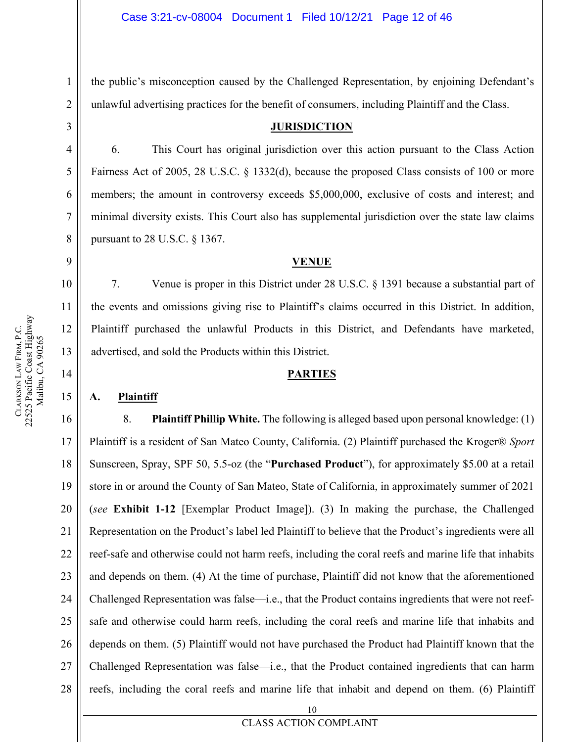the public's misconception caused by the Challenged Representation, by enjoining Defendant's unlawful advertising practices for the benefit of consumers, including Plaintiff and the Class.

#### **JURISDICTION**

6. This Court has original jurisdiction over this action pursuant to the Class Action Fairness Act of 2005, 28 U.S.C. § 1332(d), because the proposed Class consists of 100 or more members; the amount in controversy exceeds \$5,000,000, exclusive of costs and interest; and minimal diversity exists. This Court also has supplemental jurisdiction over the state law claims pursuant to 28 U.S.C. § 1367.

#### **VENUE**

7. Venue is proper in this District under 28 U.S.C. § 1391 because a substantial part of the events and omissions giving rise to Plaintiff's claims occurred in this District. In addition, Plaintiff purchased the unlawful Products in this District, and Defendants have marketed, advertised, and sold the Products within this District.

#### **PARTIES**

#### <span id="page-11-3"></span>**A. Plaintiff**

16 17 18 19 20 21 22 23 24 25 26 27 28 8. **Plaintiff Phillip White.** The following is alleged based upon personal knowledge: (1) Plaintiff is a resident of San Mateo County, California. (2) Plaintiff purchased the Kroger® *Sport* Sunscreen, Spray, SPF 50, 5.5-oz (the "**Purchased Product**"), for approximately \$5.00 at a retail store in or around the County of San Mateo, State of California, in approximately summer of 2021 (*see* **Exhibit 1-12** [Exemplar Product Image]). (3) In making the purchase, the Challenged Representation on the Product's label led Plaintiff to believe that the Product's ingredients were all reef-safe and otherwise could not harm reefs, including the coral reefs and marine life that inhabits and depends on them. (4) At the time of purchase, Plaintiff did not know that the aforementioned Challenged Representation was false—i.e., that the Product contains ingredients that were not reefsafe and otherwise could harm reefs, including the coral reefs and marine life that inhabits and depends on them. (5) Plaintiff would not have purchased the Product had Plaintiff known that the Challenged Representation was false—i.e., that the Product contained ingredients that can harm reefs, including the coral reefs and marine life that inhabit and depend on them. (6) Plaintiff

1

2

<span id="page-11-0"></span>3

4

5

6

7

8

<span id="page-11-1"></span>9

10

11

12

13

<span id="page-11-2"></span>14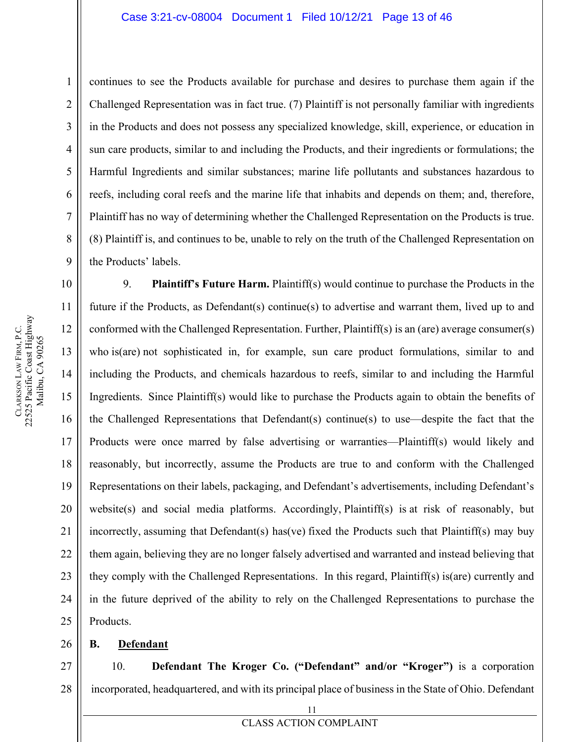#### Case 3:21-cv-08004 Document 1 Filed 10/12/21 Page 13 of 46

continues to see the Products available for purchase and desires to purchase them again if the Challenged Representation was in fact true. (7) Plaintiff is not personally familiar with ingredients in the Products and does not possess any specialized knowledge, skill, experience, or education in sun care products, similar to and including the Products, and their ingredients or formulations; the Harmful Ingredients and similar substances; marine life pollutants and substances hazardous to reefs, including coral reefs and the marine life that inhabits and depends on them; and, therefore, Plaintiff has no way of determining whether the Challenged Representation on the Products is true. (8) Plaintiff is, and continues to be, unable to rely on the truth of the Challenged Representation on the Products' labels.

9. **Plaintiff's Future Harm.** Plaintiff(s) would continue to purchase the Products in the future if the Products, as Defendant(s) continue(s) to advertise and warrant them, lived up to and conformed with the Challenged Representation. Further, Plaintiff(s) is an (are) average consumer(s) who is(are) not sophisticated in, for example, sun care product formulations, similar to and including the Products, and chemicals hazardous to reefs, similar to and including the Harmful Ingredients. Since Plaintiff(s) would like to purchase the Products again to obtain the benefits of the Challenged Representations that Defendant(s) continue(s) to use—despite the fact that the Products were once marred by false advertising or warranties—Plaintiff(s) would likely and reasonably, but incorrectly, assume the Products are true to and conform with the Challenged Representations on their labels, packaging, and Defendant's advertisements, including Defendant's website(s) and social media platforms. Accordingly, Plaintiff(s) is at risk of reasonably, but incorrectly, assuming that Defendant(s) has(ve) fixed the Products such that Plaintiff(s) may buy them again, believing they are no longer falsely advertised and warranted and instead believing that they comply with the Challenged Representations. In this regard, Plaintiff(s) is(are) currently and in the future deprived of the ability to rely on the Challenged Representations to purchase the Products.

#### <span id="page-12-0"></span>26 **B. Defendant**

27 28 10. **Defendant The Kroger Co. ("Defendant" and/or "Kroger")** is a corporation incorporated, headquartered, and with its principal place of business in the State of Ohio. Defendant

1

2

3

4

5

6

7

8

9

10

11

12

13

14

15

16

17

18

19

20

21

22

23

24

25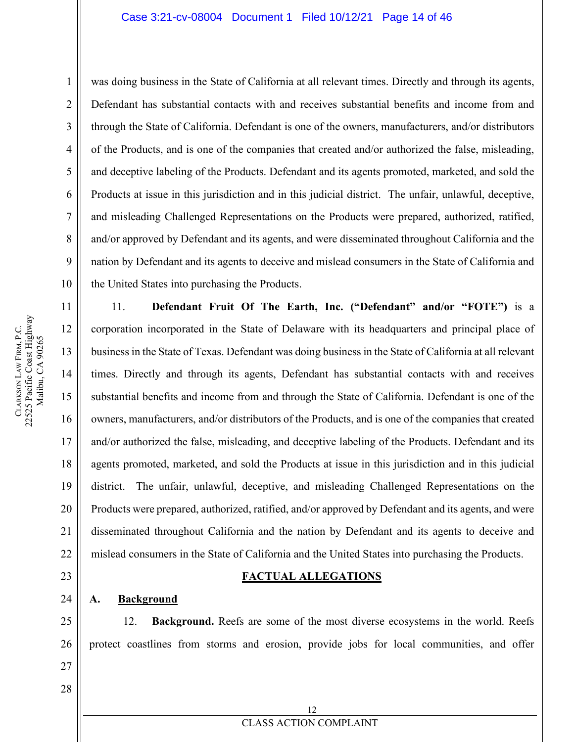#### Case 3:21-cv-08004 Document 1 Filed 10/12/21 Page 14 of 46

was doing business in the State of California at all relevant times. Directly and through its agents, Defendant has substantial contacts with and receives substantial benefits and income from and through the State of California. Defendant is one of the owners, manufacturers, and/or distributors of the Products, and is one of the companies that created and/or authorized the false, misleading, and deceptive labeling of the Products. Defendant and its agents promoted, marketed, and sold the Products at issue in this jurisdiction and in this judicial district. The unfair, unlawful, deceptive, and misleading Challenged Representations on the Products were prepared, authorized, ratified, and/or approved by Defendant and its agents, and were disseminated throughout California and the nation by Defendant and its agents to deceive and mislead consumers in the State of California and the United States into purchasing the Products.

11. **Defendant Fruit Of The Earth, Inc. ("Defendant" and/or "FOTE")** is a corporation incorporated in the State of Delaware with its headquarters and principal place of business in the State of Texas. Defendant was doing business in the State of California at all relevant times. Directly and through its agents, Defendant has substantial contacts with and receives substantial benefits and income from and through the State of California. Defendant is one of the owners, manufacturers, and/or distributors of the Products, and is one of the companies that created and/or authorized the false, misleading, and deceptive labeling of the Products. Defendant and its agents promoted, marketed, and sold the Products at issue in this jurisdiction and in this judicial district. The unfair, unlawful, deceptive, and misleading Challenged Representations on the Products were prepared, authorized, ratified, and/or approved by Defendant and its agents, and were disseminated throughout California and the nation by Defendant and its agents to deceive and mislead consumers in the State of California and the United States into purchasing the Products.

#### **FACTUAL ALLEGATIONS**

#### <span id="page-13-1"></span>**A. Background**

12. **Background.** Reefs are some of the most diverse ecosystems in the world. Reefs protect coastlines from storms and erosion, provide jobs for local communities, and offer

> 12 CLASS ACTION COMPLAINT

22525 Pacific Coast Highway CLARKSON LAW FIRM, P.C.<br>22525 Pacific Coast Highway LAW FIRM, P.C. Malibu, CA 90265 Malibu, CA 90265 **CLARKSON** 

1

2

3

4

5

6

7

8

9

10

11

12

13

14

15

16

17

18

19

20

21

22

<span id="page-13-0"></span>23

24

25

26

27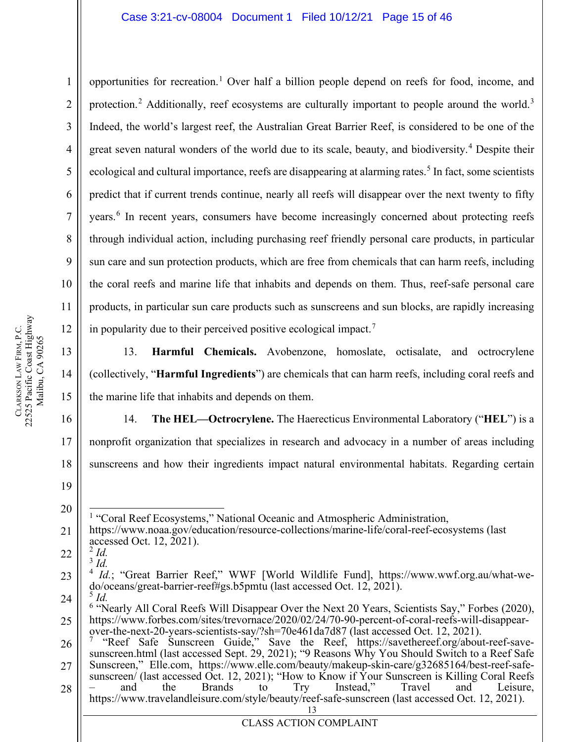opportunities for recreation.<sup>[1](#page-14-0)</sup> Over half a billion people depend on reefs for food, income, and protection.<sup>[2](#page-14-1)</sup> Additionally, reef ecosystems are culturally important to people around the world.<sup>[3](#page-14-2)</sup> Indeed, the world's largest reef, the Australian Great Barrier Reef, is considered to be one of the great seven natural wonders of the world due to its scale, beauty, and biodiversity.<sup>[4](#page-14-3)</sup> Despite their ecological and cultural importance, reefs are disappearing at alarming rates.<sup>[5](#page-14-4)</sup> In fact, some scientists predict that if current trends continue, nearly all reefs will disappear over the next twenty to fifty years.<sup>[6](#page-14-5)</sup> In recent years, consumers have become increasingly concerned about protecting reefs through individual action, including purchasing reef friendly personal care products, in particular sun care and sun protection products, which are free from chemicals that can harm reefs, including the coral reefs and marine life that inhabits and depends on them. Thus, reef-safe personal care products, in particular sun care products such as sunscreens and sun blocks, are rapidly increasing in popularity due to their perceived positive ecological impact.<sup>[7](#page-14-6)</sup>

13. **Harmful Chemicals.** Avobenzone, homoslate, octisalate, and octrocrylene (collectively, "**Harmful Ingredients**") are chemicals that can harm reefs, including coral reefs and the marine life that inhabits and depends on them.

14. **The HEL—Octrocrylene.** The Haerecticus Environmental Laboratory ("**HEL**") is a nonprofit organization that specializes in research and advocacy in a number of areas including sunscreens and how their ingredients impact natural environmental habitats. Regarding certain

<sup>1</sup> "Coral Reef Ecosystems," National Oceanic and Atmospheric Administration,

- 21 https://www.noaa.gov/education/resource-collections/marine-life/coral-reef-ecosystems (last accessed Oct. 12, 2021). <sup>2</sup> *Id.*
- <span id="page-14-1"></span>22 <sup>3</sup> *Id.*
- <span id="page-14-3"></span><span id="page-14-2"></span>23 <sup>4</sup> *Id.*; "Great Barrier Reef," WWF [World Wildlife Fund], https://www.wwf.org.au/what-wedo/oceans/great-barrier-reef#gs.b5pmtu (last accessed Oct. 12, 2021).<br>
<sup>5</sup> *Id.*<br>
<sup>6</sup> "Nearly All Coral Reefs Will Disappear Over the Next 20 Years, Scientists Say," Forbes (2020),
- <span id="page-14-5"></span><span id="page-14-4"></span>24 25
- <span id="page-14-6"></span>26 27 28 https://www.forbes.com/sites/trevornace/2020/02/24/70-90-percent-of-coral-reefs-will-disappear-<br>over-the-next-20-years-scientists-say/?sh=70e461da7d87 (last accessed Oct. 12, 2021).<br><sup>7</sup> "Reef Safe Sunscreen Guide," Save th sunscreen/ (last accessed Oct. 12, 2021); "How to Know if Your Sunscreen is Killing Coral Reefs<br>
– and the Brands to Try Instead," Travel and Leisure, https://www.travelandleisure.com/style/beauty/reef-safe-sunscreen (last accessed Oct. 12, 2021).

1

2

3

4

5

6

7

8

9

10

11

12

13

14

15

16

17

18

19

<span id="page-14-0"></span>20

**CLARKSON** 

LAW FIRM, P.C.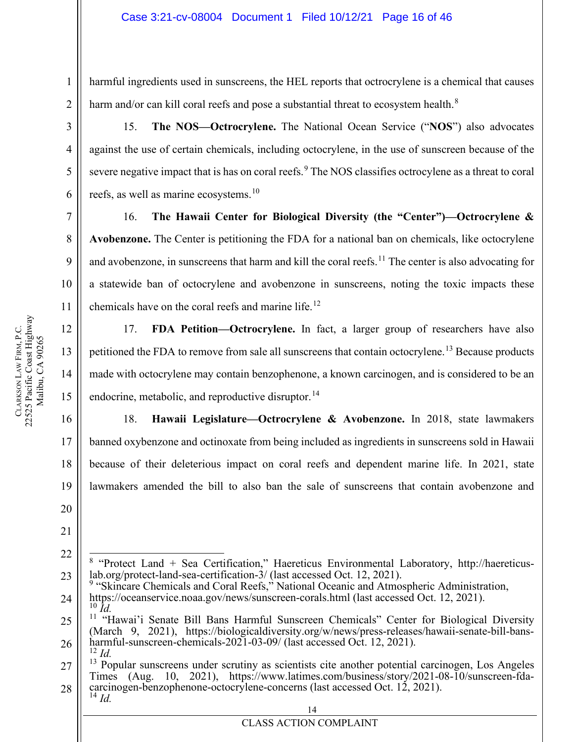harmful ingredients used in sunscreens, the HEL reports that octrocrylene is a chemical that causes harm and/or can kill coral reefs and pose a substantial threat to ecosystem health. $8$ 

15. **The NOS—Octrocrylene.** The National Ocean Service ("**NOS**") also advocates against the use of certain chemicals, including octocrylene, in the use of sunscreen because of the severe negative impact that is has on coral reefs.<sup>[9](#page-15-1)</sup> The NOS classifies octrocylene as a threat to coral reefs, as well as marine ecosystems.<sup>[10](#page-15-2)</sup>

16. **The Hawaii Center for Biological Diversity (the "Center")—Octrocrylene & Avobenzone.** The Center is petitioning the FDA for a national ban on chemicals, like octocrylene and avobenzone, in sunscreens that harm and kill the coral reefs.<sup>[11](#page-15-3)</sup> The center is also advocating for a statewide ban of octocrylene and avobenzone in sunscreens, noting the toxic impacts these chemicals have on the coral reefs and marine life.<sup>[12](#page-15-4)</sup>

17. **FDA Petition—Octrocrylene.** In fact, a larger group of researchers have also petitioned the FDA to remove from sale all sunscreens that contain octocrylene.<sup>[13](#page-15-5)</sup> Because products made with octocrylene may contain benzophenone, a known carcinogen, and is considered to be an endocrine, metabolic, and reproductive disruptor.<sup>[14](#page-15-6)</sup>

18. **Hawaii Legislature—Octrocrylene & Avobenzone.** In 2018, state lawmakers banned oxybenzone and octinoxate from being included as ingredients in sunscreens sold in Hawaii because of their deleterious impact on coral reefs and dependent marine life. In 2021, state lawmakers amended the bill to also ban the sale of sunscreens that contain avobenzone and

20 21

22

1

2

3

4

5

6

7

8

9

10

11

12

13

14

15

16

17

18

19

<span id="page-15-1"></span>24 <sup>9</sup> "Skincare Chemicals and Coral Reefs," National Oceanic and Atmospheric Administration, https://oceanservice.noaa.gov/news/sunscreen-corals.html (last accessed Oct. 12, 2021). <sup>10</sup> *Id.*

<span id="page-15-0"></span><sup>23</sup> <sup>8</sup> "Protect Land + Sea Certification," Haereticus Environmental Laboratory, http://haereticus-<br>lab.org/protect-land-sea-certification-3/ (last accessed Oct. 12, 2021).

<span id="page-15-3"></span><span id="page-15-2"></span><sup>25</sup> 26 <sup>11</sup> "Hawai'i Senate Bill Bans Harmful Sunscreen Chemicals" Center for Biological Diversity (March 9, 2021), https://biologicaldiversity.org/w/news/press-releases/hawaii-senate-bill-bans-<br>harmful-sunscreen-chemicals-2021-03-09/ (last accessed Oct. 12, 2021).<br><sup>12</sup> *Id.* 

<span id="page-15-6"></span><span id="page-15-5"></span><span id="page-15-4"></span><sup>27</sup> 28  $13$  Popular sunscreens under scrutiny as scientists cite another potential carcinogen, Los Angeles Times (Aug. 10, 2021), https://www.latimes.com/business/story/2021-08-10/sunscreen-fda-<br>carcinogen-benzophenone-octocrylene-concerns (last accessed Oct. 12, 2021).<br><sup>14</sup> *Id*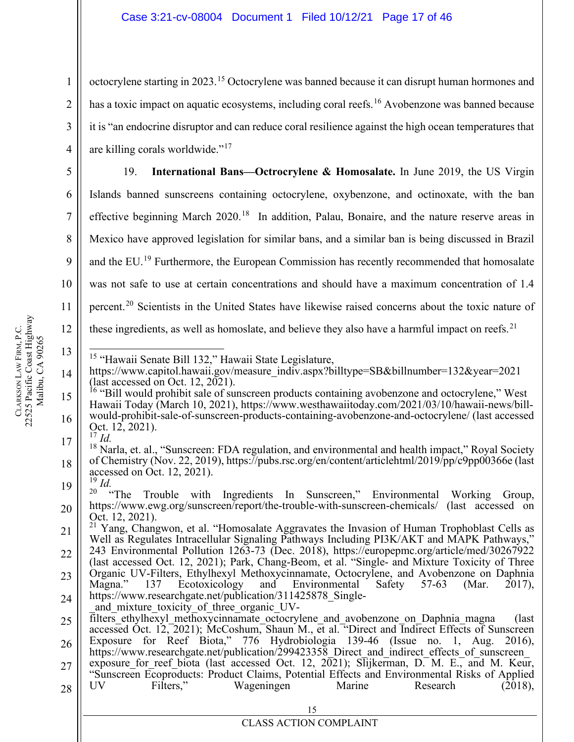octocrylene starting in 2023.<sup>[15](#page-16-0)</sup> Octocrylene was banned because it can disrupt human hormones and has a toxic impact on aquatic ecosystems, including coral reefs.<sup>[16](#page-16-1)</sup> Avobenzone was banned because it is "an endocrine disruptor and can reduce coral resilience against the high ocean temperatures that are killing corals worldwide."[17](#page-16-2)

19. **International Bans—Octrocrylene & Homosalate.** In June 2019, the US Virgin Islands banned sunscreens containing octocrylene, oxybenzone, and octinoxate, with the ban effective beginning March  $2020$ <sup>[18](#page-16-3)</sup> In addition, Palau, Bonaire, and the nature reserve areas in Mexico have approved legislation for similar bans, and a similar ban is being discussed in Brazil and the EU.<sup>[19](#page-16-4)</sup> Furthermore, the European Commission has recently recommended that homosalate was not safe to use at certain concentrations and should have a maximum concentration of 1.4 percent.<sup>[20](#page-16-5)</sup> Scientists in the United States have likewise raised concerns about the toxic nature of these ingredients, as well as homoslate, and believe they also have a harmful impact on reefs.<sup>[21](#page-16-6)</sup>

- 
- <span id="page-16-0"></span>14 <sup>15</sup> "Hawaii Senate Bill 132," Hawaii State Legislature,<br>https://www.capitol.hawaii.gov/measure\_indiv.aspx?billtype=SB&billnumber=132&year=2021
- <span id="page-16-1"></span>15 16 (last accessed on Oct. 12, 2021).<br><sup>16</sup> "Bill would prohibit sale of sunscreen products containing avobenzone and octocrylene," West<br>Hawaii Today (March 10, 2021), https://www.westhawaiitoday.com/2021/03/10/hawaii-news/bil would-prohibit-sale-of-sunscreen-products-containing-avobenzone-and-octocrylene/ (last accessed Oct. 12, 2021). <sup>17</sup> *Id.*
- <span id="page-16-3"></span><span id="page-16-2"></span>17 18 <sup>18</sup> Narla, et. al., "Sunscreen: FDA regulation, and environmental and health impact," Royal Society of Chemistry (Nov. 22, 2019), https://pubs.rsc.org/en/content/articlehtml/2019/pp/c9pp00366e (last accessed on Oct. 12, 2021). <sup>19</sup> *Id.* 
	-
- <span id="page-16-5"></span><span id="page-16-4"></span>19 20 <sup>20</sup> "The Trouble with Ingredients In Sunscreen," Environmental Working Group, https://www.ewg.org/sunscreen/report/the-trouble-with-sunscreen-chemicals/ (last accessed on

- 24 Magna." 137 Ecotoxicology and Environmental Safety 57-63 (Mar. 2017),<br>https://www.researchgate.net/publication/311425878\_Single-<br>and\_mixture\_toxicity\_of\_three\_organic\_UV-<br>filters ethylhexyl methoxycinnamate octocrylene and
- 25 26 accessed Oct. 12, 2021); McCoshum, Shaun M., et al. "Direct and Indirect Effects of Sunscreen<br>Exposure for Reef Biota," 776 Hydrobiologia 139-46 (Issue no. 1, Aug. 2016), https://www.researchgate.net/publication/299423358\_Direct\_and\_indirect\_effects\_of\_sunscreen\_
- 27 28 exposure for reef biota (last accessed Oct. 12,  $2\overline{0}21$ ); Slijkerman, D. M. E., and M. Keur, "Sunscreen Ecoproducts: Product Claims, Potential Effects and Environmental Risks of Applied<br>UV Filters," Wageningen Marine Research (2018), Wageningen Marine Research  $(2018)$ ,

1

2

3

4

5

6

7

8

9

10

11

12

13

<span id="page-16-6"></span><sup>21</sup> 22 23 Oct. 12, 2021).<br><sup>21</sup> Yang, Changwon, et al. "Homosalate Aggravates the Invasion of Human Trophoblast Cells as Well as Regulates Intracellular Signaling Pathways Including PI3K/AKT and MAPK Pathways," 243 Environmental Pollution 1263-73 (Dec. 2018), https://europepmc.org/article/med/30267922 (last accessed Oct. 12, 2021); Park, Chang-Beom, et al. "Single- and Mixture Toxicity of Three Organic UV-Filters, Ethylhexyl Methoxycinnamate, Octocrylene, and Avobenzone on Daphnia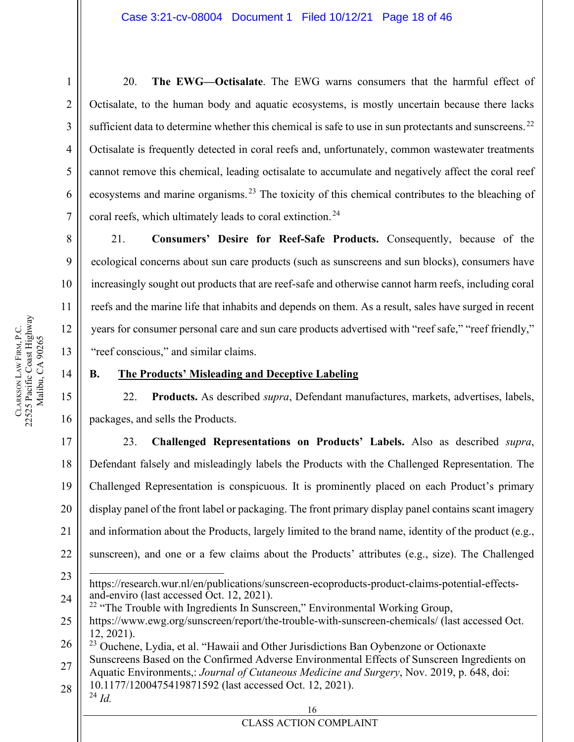20. **The EWG—Octisalate**. The EWG warns consumers that the harmful effect of Octisalate, to the human body and aquatic ecosystems, is mostly uncertain because there lacks sufficient data to determine whether this chemical is safe to use in sun protectants and sunscreens.<sup>[22](#page-17-1)</sup> Octisalate is frequently detected in coral reefs and, unfortunately, common wastewater treatments cannot remove this chemical, leading octisalate to accumulate and negatively affect the coral reef ecosystems and marine organisms.<sup>[23](#page-17-2)</sup> The toxicity of this chemical contributes to the bleaching of coral reefs, which ultimately leads to coral extinction.<sup>[24](#page-17-3)</sup>

21. **Consumers' Desire for Reef-Safe Products.** Consequently, because of the ecological concerns about sun care products (such as sunscreens and sun blocks), consumers have increasingly sought out products that are reef-safe and otherwise cannot harm reefs, including coral reefs and the marine life that inhabits and depends on them. As a result, sales have surged in recent years for consumer personal care and sun care products advertised with "reef safe," "reef friendly," "reef conscious," and similar claims.

# 14

1

2

3

4

5

6

7

8

9

10

11

12

13

15

16

# <span id="page-17-0"></span>**B. The Products' Misleading and Deceptive Labeling**

22. **Products.** As described *supra*, Defendant manufactures, markets, advertises, labels, packages, and sells the Products.

17 18 19 20 21 22 23. **Challenged Representations on Products' Labels.** Also as described *supra*, Defendant falsely and misleadingly labels the Products with the Challenged Representation. The Challenged Representation is conspicuous. It is prominently placed on each Product's primary display panel of the front label or packaging. The front primary display panel contains scant imagery and information about the Products, largely limited to the brand name, identity of the product (e.g., sunscreen), and one or a few claims about the Products' attributes (e.g., size). The Challenged

- 23 24 https://research.wur.nl/en/publications/sunscreen-ecoproducts-product-claims-potential-effectsand-enviro (last accessed Oct. 12, 2021).
- <span id="page-17-1"></span>25  $22$  "The Trouble with Ingredients In Sunscreen," Environmental Working Group, https://www.ewg.org/sunscreen/report/the-trouble-with-sunscreen-chemicals/ (last accessed Oct. 12, 2021).

<span id="page-17-2"></span>26 27 <sup>23</sup> Ouchene, Lydia, et al. "Hawaii and Other Jurisdictions Ban Oybenzone or Octionaxte Sunscreens Based on the Confirmed Adverse Environmental Effects of Sunscreen Ingredients on Aquatic Environments,: *Journal of Cutaneous Medicine and Surgery*, Nov. 2019, p. 648, doi:

<span id="page-17-3"></span>28 10.1177/1200475419871592 (last accessed Oct. 12, 2021). <sup>24</sup> *Id.*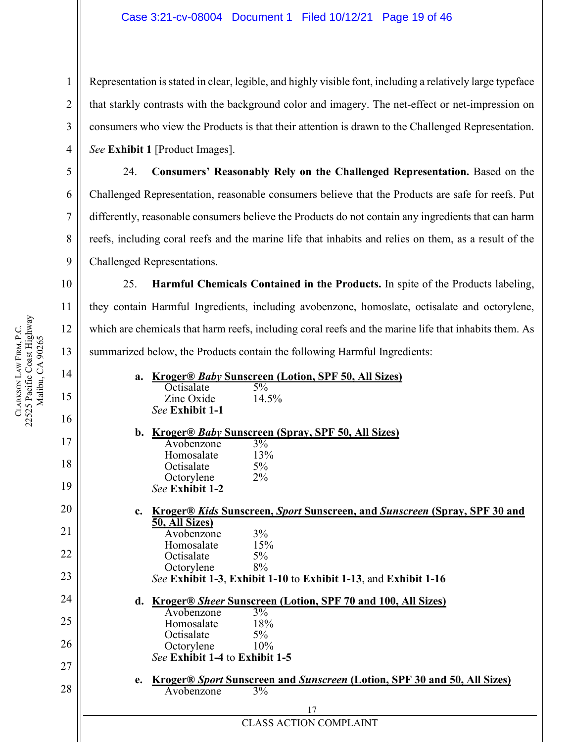Representation is stated in clear, legible, and highly visible font, including a relatively large typeface that starkly contrasts with the background color and imagery. The net-effect or net-impression on consumers who view the Products is that their attention is drawn to the Challenged Representation. *See* **Exhibit 1** [Product Images].

24. **Consumers' Reasonably Rely on the Challenged Representation.** Based on the Challenged Representation, reasonable consumers believe that the Products are safe for reefs. Put differently, reasonable consumers believe the Products do not contain any ingredients that can harm reefs, including coral reefs and the marine life that inhabits and relies on them, as a result of the Challenged Representations.

25. **Harmful Chemicals Contained in the Products.** In spite of the Products labeling, they contain Harmful Ingredients, including avobenzone, homoslate, octisalate and octorylene, which are chemicals that harm reefs, including coral reefs and the marine life that inhabits them. As summarized below, the Products contain the following Harmful Ingredients:

| a. Kroger® Baby Sunscreen (Lotion, SPF 50, All Sizes)                                           |  |
|-------------------------------------------------------------------------------------------------|--|
| Octisalate<br>$5\%$                                                                             |  |
| Zinc Oxide<br>14.5%<br>See Exhibit 1-1                                                          |  |
|                                                                                                 |  |
| b. Kroger® Baby Sunscreen (Spray, SPF 50, All Sizes)                                            |  |
| 3%<br>Avobenzone                                                                                |  |
| Homosalate<br>13%                                                                               |  |
| $5\%$<br>Octisalate<br>$2\%$<br>Octorylene                                                      |  |
| See Exhibit 1-2                                                                                 |  |
|                                                                                                 |  |
| <u>Kroger® Kids Sunscreen, Sport Sunscreen, and Sunscreen (Spray, SPF 30 and</u><br>$c_{\cdot}$ |  |
| 50, All Sizes)                                                                                  |  |
| 3%<br>Avobenzone<br>Homosalate<br>15%                                                           |  |
| Octisalate<br>5%                                                                                |  |
| 8%<br>Octorylene                                                                                |  |
| See Exhibit 1-3, Exhibit 1-10 to Exhibit 1-13, and Exhibit 1-16                                 |  |
| <b>Kroger® Sheer Sunscreen (Lotion, SPF 70 and 100, All Sizes)</b><br>d.                        |  |
| $\frac{3\%}{ }$<br>Avobenzone                                                                   |  |
| Homosalate<br>18%                                                                               |  |
| Octisalate<br>$5\%$                                                                             |  |
| Octorylene<br>10%                                                                               |  |
| See Exhibit 1-4 to Exhibit 1-5                                                                  |  |
| <u>Kroger® Sport Sunscreen and Sunscreen (Lotion, SPF 30 and 50, All Sizes)</u><br>e.           |  |
| 3%<br>Avobenzone                                                                                |  |
| 17                                                                                              |  |
|                                                                                                 |  |

CLASS ACTION COMPLAINT

1

2

3

4

5

6

7

8

9

10

11

12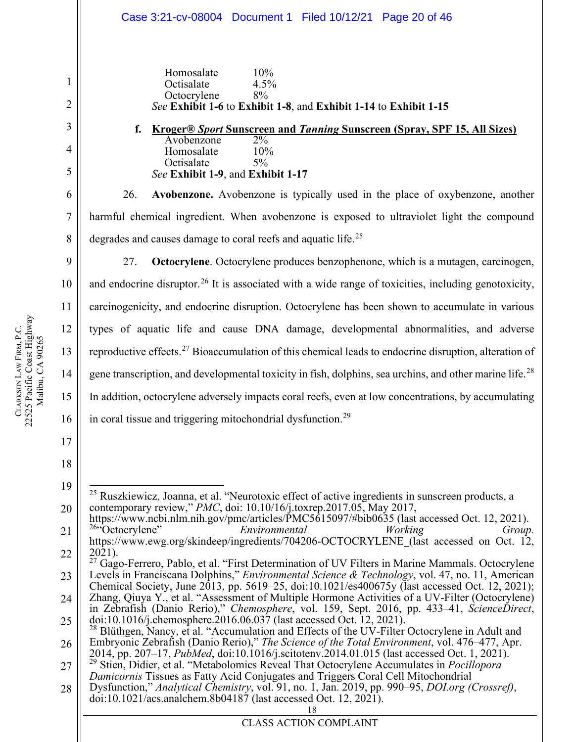1 2 3 4 5 6 7 8 9 10 11 12 13 14 15 16 17 18 19 20 21 22 23 24 25 26 27 Homosalate 10% Octisalate 4.5% Octocrylene 8% *See* **Exhibit 1-6** to **Exhibit 1-8**, and **Exhibit 1-14** to **Exhibit 1-15 f. Kroger®** *Sport* **Sunscreen and** *Tanning* **Sunscreen (Spray, SPF 15, All Sizes)**  Avobenzone 2% Homosalate 10% Octisalate 5% *See* **Exhibit 1-9**, and **Exhibit 1-17** 26. **Avobenzone.** Avobenzone is typically used in the place of oxybenzone, another harmful chemical ingredient. When avobenzone is exposed to ultraviolet light the compound degrades and causes damage to coral reefs and aquatic life.<sup>[25](#page-19-0)</sup> 27. **Octocrylene**. Octocrylene produces benzophenone, which is a mutagen, carcinogen, and endocrine disruptor.<sup>[26](#page-19-1)</sup> It is associated with a wide range of toxicities, including genotoxicity, carcinogenicity, and endocrine disruption. Octocrylene has been shown to accumulate in various types of aquatic life and cause DNA damage, developmental abnormalities, and adverse reproductive effects.[27](#page-19-2) Bioaccumulation of this chemical leads to endocrine disruption, alteration of gene transcription, and developmental toxicity in fish, dolphins, sea urchins, and other marine life.<sup>[28](#page-19-3)</sup> In addition, octocrylene adversely impacts coral reefs, even at low concentrations, by accumulating in coral tissue and triggering mitochondrial dysfunction.[29](#page-19-4)  $^{25}$  Ruszkiewicz, Joanna, et al. "Neurotoxic effect of active ingredients in sunscreen products, a contemporary review," *PMC*, doi: 10.10/16/j.toxrep.2017.05, May 2017, https://www.ncbi.nlm.nih.gov/pmc/articles/PMC5615097/#bib0635 (last accessed Oct. 12, 2021).<br><sup>26</sup> Coctocrylene" *Environmental Working Group.* https://www.ewg.org/skindeep/ingredients/704206-OCTOCRYLENE (last accessed on Oct. 12, 2021). <sup>27</sup> Gago-Ferrero, Pablo, et al. "First Determination of UV Filters in Marine Mammals. Octocrylene Levels in Franciscana Dolphins," *Environmental Science & Technology*, vol. 47, no. 11, American Chemical Society, June 2013, pp. 5619–25, doi:10.1021/es400675y (last accessed Oct. 12, 2021); Zhang, Qiuya Y., et al. "Assessment of Multiple Hormone Activities of a UV-Filter (Octocrylene) in Zebrafish (Danio Rerio)," Chemosphere, vol. 159, Sept. 2016, pp. 433–41, ScienceDirect, doi:10.1016/j.chemosphere.2016.06.037 (last accessed Oct. 12, 2021).<br><sup>28</sup> Blüthgen, Nancy, et al. "Accumulation and Effects of the UV-Filter Octocrylene in Adult and Embryonic Zebrafish (Danio Rerio)," *The Science of the Total Environment*, vol. 476–477, Apr. <sup>29</sup> Stien, Didier, et al. "Metabolomics Reveal That Octocrylene Accumulates in *Pocillopora Damicornis* Tissues as Fatty Acid Conjugates and Triggers Coral Cell Mitochondrial Case 3:21-cv-08004 Document 1 Filed 10/12/21 Page 20 of 46

<span id="page-19-4"></span><span id="page-19-3"></span><span id="page-19-2"></span><span id="page-19-1"></span><span id="page-19-0"></span>28 Dysfunction," *Analytical Chemistry*, vol. 91, no. 1, Jan. 2019, pp. 990–95, *DOI.org (Crossref)*, doi:10.1021/acs.analchem.8b04187 (last accessed Oct. 12, 2021).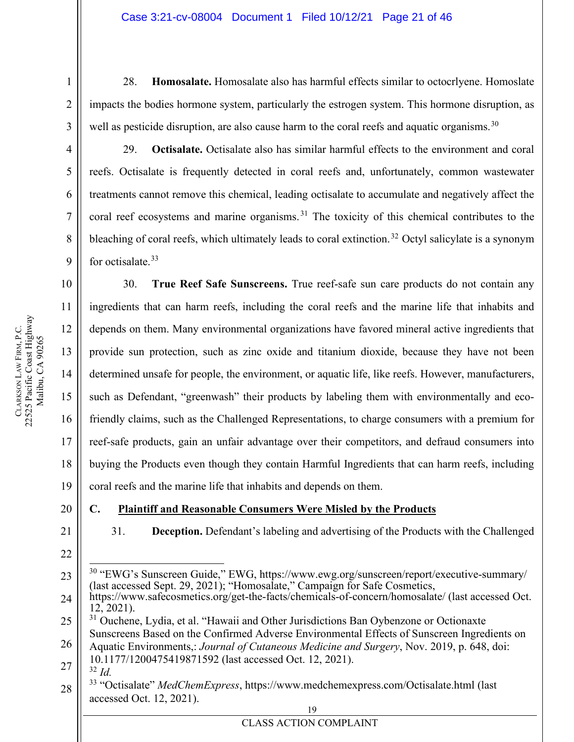28. **Homosalate.** Homosalate also has harmful effects similar to octocrlyene. Homoslate impacts the bodies hormone system, particularly the estrogen system. This hormone disruption, as well as pesticide disruption, are also cause harm to the coral reefs and aquatic organisms.<sup>[30](#page-20-1)</sup>

1

2

3

4

5

6

7

8

9

29. **Octisalate.** Octisalate also has similar harmful effects to the environment and coral reefs. Octisalate is frequently detected in coral reefs and, unfortunately, common wastewater treatments cannot remove this chemical, leading octisalate to accumulate and negatively affect the coral reef ecosystems and marine organisms.<sup>[31](#page-20-2)</sup> The toxicity of this chemical contributes to the bleaching of coral reefs, which ultimately leads to coral extinction.<sup>[32](#page-20-3)</sup> Octyl salicylate is a synonym for octisalate.<sup>[33](#page-20-4)</sup>

30. **True Reef Safe Sunscreens.** True reef-safe sun care products do not contain any ingredients that can harm reefs, including the coral reefs and the marine life that inhabits and depends on them. Many environmental organizations have favored mineral active ingredients that provide sun protection, such as zinc oxide and titanium dioxide, because they have not been determined unsafe for people, the environment, or aquatic life, like reefs. However, manufacturers, such as Defendant, "greenwash" their products by labeling them with environmentally and ecofriendly claims, such as the Challenged Representations, to charge consumers with a premium for reef-safe products, gain an unfair advantage over their competitors, and defraud consumers into buying the Products even though they contain Harmful Ingredients that can harm reefs, including coral reefs and the marine life that inhabits and depends on them.

# <span id="page-20-0"></span>**C. Plaintiff and Reasonable Consumers Were Misled by the Products**

21

22

31. **Deception.** Defendant's labeling and advertising of the Products with the Challenged

<span id="page-20-4"></span><span id="page-20-3"></span><span id="page-20-2"></span><span id="page-20-1"></span><sup>19</sup> 23 24 25 26 27 28 <sup>30</sup> "EWG's Sunscreen Guide," EWG, https://www.ewg.org/sunscreen/report/executive-summary/ (last accessed Sept. 29, 2021); "Homosalate," Campaign for Safe Cosmetics, https://www.safecosmetics.org/get-the-facts/chemicals-of-concern/homosalate/ (last accessed Oct. 12, 2021). <sup>31</sup> Ouchene, Lydia, et al. "Hawaii and Other Jurisdictions Ban Oybenzone or Octionaxte Sunscreens Based on the Confirmed Adverse Environmental Effects of Sunscreen Ingredients on Aquatic Environments,: *Journal of Cutaneous Medicine and Surgery*, Nov. 2019, p. 648, doi: 10.1177/1200475419871592 (last accessed Oct. 12, 2021). <sup>32</sup> *Id.* <sup>33</sup> "Octisalate" *MedChemExpress*, https://www.medchemexpress.com/Octisalate.html (last accessed Oct. 12, 2021).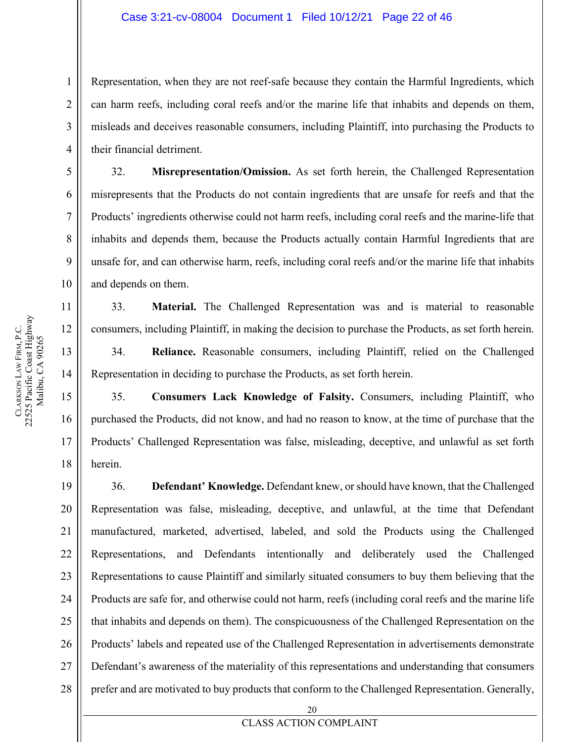Representation, when they are not reef-safe because they contain the Harmful Ingredients, which can harm reefs, including coral reefs and/or the marine life that inhabits and depends on them, misleads and deceives reasonable consumers, including Plaintiff, into purchasing the Products to their financial detriment.

32. **Misrepresentation/Omission.** As set forth herein, the Challenged Representation misrepresents that the Products do not contain ingredients that are unsafe for reefs and that the Products' ingredients otherwise could not harm reefs, including coral reefs and the marine-life that inhabits and depends them, because the Products actually contain Harmful Ingredients that are unsafe for, and can otherwise harm, reefs, including coral reefs and/or the marine life that inhabits and depends on them.

33. **Material.** The Challenged Representation was and is material to reasonable consumers, including Plaintiff, in making the decision to purchase the Products, as set forth herein.

34. **Reliance.** Reasonable consumers, including Plaintiff, relied on the Challenged Representation in deciding to purchase the Products, as set forth herein.

35. **Consumers Lack Knowledge of Falsity.** Consumers, including Plaintiff, who purchased the Products, did not know, and had no reason to know, at the time of purchase that the Products' Challenged Representation was false, misleading, deceptive, and unlawful as set forth herein.

19 20 21 22 23 24 25 26 27 28 36. **Defendant' Knowledge.** Defendant knew, or should have known, that the Challenged Representation was false, misleading, deceptive, and unlawful, at the time that Defendant manufactured, marketed, advertised, labeled, and sold the Products using the Challenged Representations, and Defendants intentionally and deliberately used the Challenged Representations to cause Plaintiff and similarly situated consumers to buy them believing that the Products are safe for, and otherwise could not harm, reefs (including coral reefs and the marine life that inhabits and depends on them). The conspicuousness of the Challenged Representation on the Products' labels and repeated use of the Challenged Representation in advertisements demonstrate Defendant's awareness of the materiality of this representations and understanding that consumers prefer and are motivated to buy products that conform to the Challenged Representation. Generally,

1

2

3

4

5

6

7

8

9

10

11

12

13

14

15

16

17

18

**CLARKSON** 

LAW FIRM, P.C.

22525 Pacific Coast Highway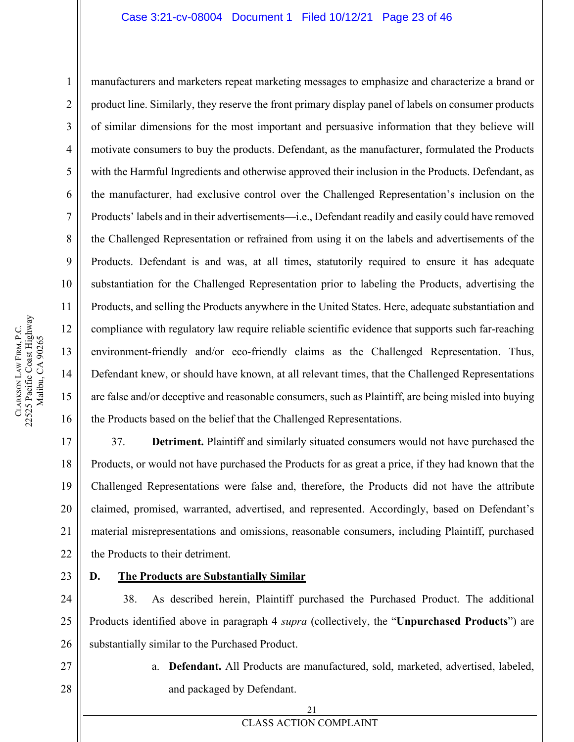#### Case 3:21-cv-08004 Document 1 Filed 10/12/21 Page 23 of 46

manufacturers and marketers repeat marketing messages to emphasize and characterize a brand or product line. Similarly, they reserve the front primary display panel of labels on consumer products of similar dimensions for the most important and persuasive information that they believe will motivate consumers to buy the products. Defendant, as the manufacturer, formulated the Products with the Harmful Ingredients and otherwise approved their inclusion in the Products. Defendant, as the manufacturer, had exclusive control over the Challenged Representation's inclusion on the Products' labels and in their advertisements—i.e., Defendant readily and easily could have removed the Challenged Representation or refrained from using it on the labels and advertisements of the Products. Defendant is and was, at all times, statutorily required to ensure it has adequate substantiation for the Challenged Representation prior to labeling the Products, advertising the Products, and selling the Products anywhere in the United States. Here, adequate substantiation and compliance with regulatory law require reliable scientific evidence that supports such far-reaching environment-friendly and/or eco-friendly claims as the Challenged Representation. Thus, Defendant knew, or should have known, at all relevant times, that the Challenged Representations are false and/or deceptive and reasonable consumers, such as Plaintiff, are being misled into buying the Products based on the belief that the Challenged Representations.

37. **Detriment.** Plaintiff and similarly situated consumers would not have purchased the Products, or would not have purchased the Products for as great a price, if they had known that the Challenged Representations were false and, therefore, the Products did not have the attribute claimed, promised, warranted, advertised, and represented. Accordingly, based on Defendant's material misrepresentations and omissions, reasonable consumers, including Plaintiff, purchased the Products to their detriment.

23

#### <span id="page-22-0"></span>**D. The Products are Substantially Similar**

24 25 26 38. As described herein, Plaintiff purchased the Purchased Product. The additional Products identified above in paragraph 4 *supra* (collectively, the "**Unpurchased Products**") are substantially similar to the Purchased Product.

- 27 28
- a. **Defendant.** All Products are manufactured, sold, marketed, advertised, labeled, and packaged by Defendant.

1

2

3

4

5

6

7

8

9

10

11

12

13

14

15

16

17

18

19

20

21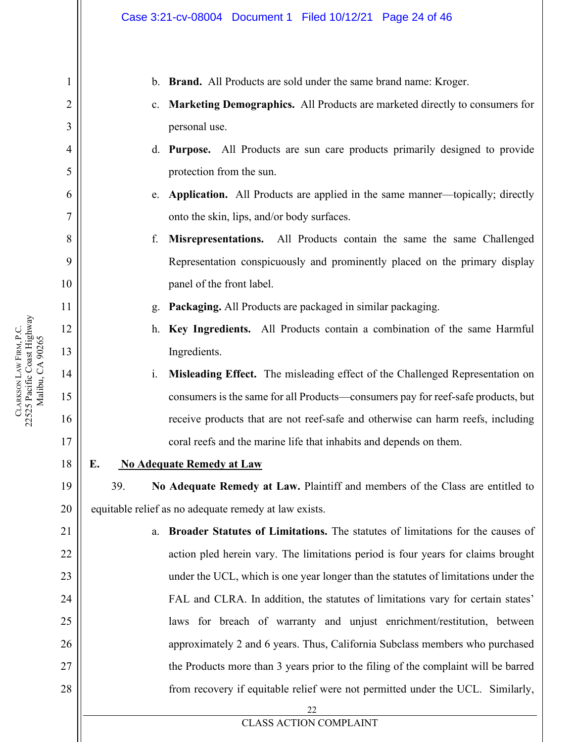1

2

3

4

5

6

7

8

9

**CLARKSON** 

LAW FIRM, P.C.

22525 Pacific Coast Highway

CLARKSON LAW FIRM, P.C.<br>22525 Pacific Coast Highway

- b. **Brand.** All Products are sold under the same brand name: Kroger.
- c. **Marketing Demographics.** All Products are marketed directly to consumers for personal use.
- d. **Purpose.** All Products are sun care products primarily designed to provide protection from the sun.
- e. **Application.** All Products are applied in the same manner—topically; directly onto the skin, lips, and/or body surfaces.
- f. **Misrepresentations.** All Products contain the same the same Challenged Representation conspicuously and prominently placed on the primary display panel of the front label.
- g. **Packaging.** All Products are packaged in similar packaging.
- h. **Key Ingredients.** All Products contain a combination of the same Harmful Ingredients.
- i. **Misleading Effect.** The misleading effect of the Challenged Representation on consumers is the same for all Products—consumers pay for reef-safe products, but receive products that are not reef-safe and otherwise can harm reefs, including coral reefs and the marine life that inhabits and depends on them.
- 18

19

20

21

22

23

24

25

26

27

28

<span id="page-23-0"></span>**E. No Adequate Remedy at Law**

39. **No Adequate Remedy at Law.** Plaintiff and members of the Class are entitled to equitable relief as no adequate remedy at law exists.

a. **Broader Statutes of Limitations.** The statutes of limitations for the causes of action pled herein vary. The limitations period is four years for claims brought under the UCL, which is one year longer than the statutes of limitations under the FAL and CLRA. In addition, the statutes of limitations vary for certain states' laws for breach of warranty and unjust enrichment/restitution, between approximately 2 and 6 years. Thus, California Subclass members who purchased the Products more than 3 years prior to the filing of the complaint will be barred from recovery if equitable relief were not permitted under the UCL. Similarly,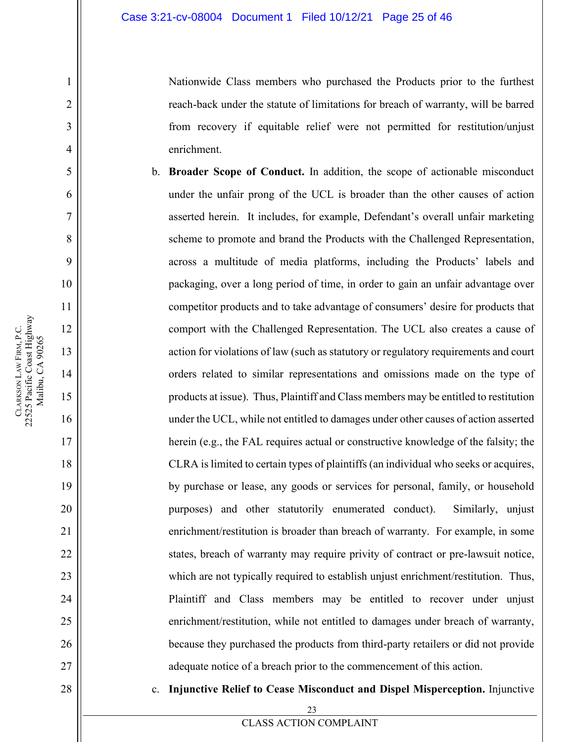Nationwide Class members who purchased the Products prior to the furthest reach-back under the statute of limitations for breach of warranty, will be barred from recovery if equitable relief were not permitted for restitution/unjust enrichment.

- b. **Broader Scope of Conduct.** In addition, the scope of actionable misconduct under the unfair prong of the UCL is broader than the other causes of action asserted herein. It includes, for example, Defendant's overall unfair marketing scheme to promote and brand the Products with the Challenged Representation, across a multitude of media platforms, including the Products' labels and packaging, over a long period of time, in order to gain an unfair advantage over competitor products and to take advantage of consumers' desire for products that comport with the Challenged Representation. The UCL also creates a cause of action for violations of law (such as statutory or regulatory requirements and court orders related to similar representations and omissions made on the type of products at issue). Thus, Plaintiff and Class members may be entitled to restitution under the UCL, while not entitled to damages under other causes of action asserted herein (e.g., the FAL requires actual or constructive knowledge of the falsity; the CLRA is limited to certain types of plaintiffs (an individual who seeks or acquires, by purchase or lease, any goods or services for personal, family, or household purposes) and other statutorily enumerated conduct). Similarly, unjust enrichment/restitution is broader than breach of warranty. For example, in some states, breach of warranty may require privity of contract or pre-lawsuit notice, which are not typically required to establish unjust enrichment/restitution. Thus, Plaintiff and Class members may be entitled to recover under unjust enrichment/restitution, while not entitled to damages under breach of warranty, because they purchased the products from third-party retailers or did not provide adequate notice of a breach prior to the commencement of this action.
	- c. **Injunctive Relief to Cease Misconduct and Dispel Misperception.** Injunctive

1

2

3

4

5

6

7

8

9

10

11

12

13

14

15

16

17

18

19

20

21

22

23

24

25

26

27

28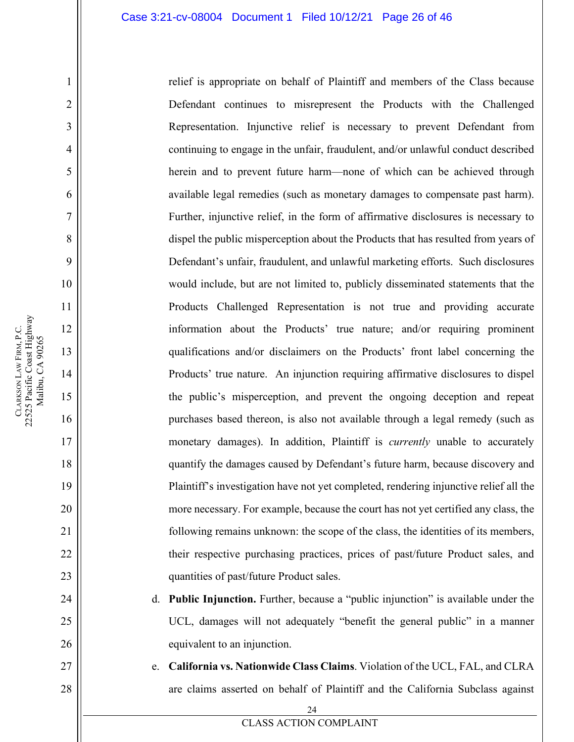relief is appropriate on behalf of Plaintiff and members of the Class because Defendant continues to misrepresent the Products with the Challenged Representation. Injunctive relief is necessary to prevent Defendant from continuing to engage in the unfair, fraudulent, and/or unlawful conduct described herein and to prevent future harm—none of which can be achieved through available legal remedies (such as monetary damages to compensate past harm). Further, injunctive relief, in the form of affirmative disclosures is necessary to dispel the public misperception about the Products that has resulted from years of Defendant's unfair, fraudulent, and unlawful marketing efforts. Such disclosures would include, but are not limited to, publicly disseminated statements that the Products Challenged Representation is not true and providing accurate information about the Products' true nature; and/or requiring prominent qualifications and/or disclaimers on the Products' front label concerning the Products' true nature. An injunction requiring affirmative disclosures to dispel the public's misperception, and prevent the ongoing deception and repeat purchases based thereon, is also not available through a legal remedy (such as monetary damages). In addition, Plaintiff is *currently* unable to accurately quantify the damages caused by Defendant's future harm, because discovery and Plaintiff's investigation have not yet completed, rendering injunctive relief all the more necessary. For example, because the court has not yet certified any class, the following remains unknown: the scope of the class, the identities of its members, their respective purchasing practices, prices of past/future Product sales, and quantities of past/future Product sales.

d. **Public Injunction.** Further, because a "public injunction" is available under the UCL, damages will not adequately "benefit the general public" in a manner equivalent to an injunction.

e. **California vs. Nationwide Class Claims**. Violation of the UCL, FAL, and CLRA are claims asserted on behalf of Plaintiff and the California Subclass against

1

2

3

4

5

6

7

8

9

10

11

12

13

14

15

16

17

18

19

20

21

22

23

24

25

26

27

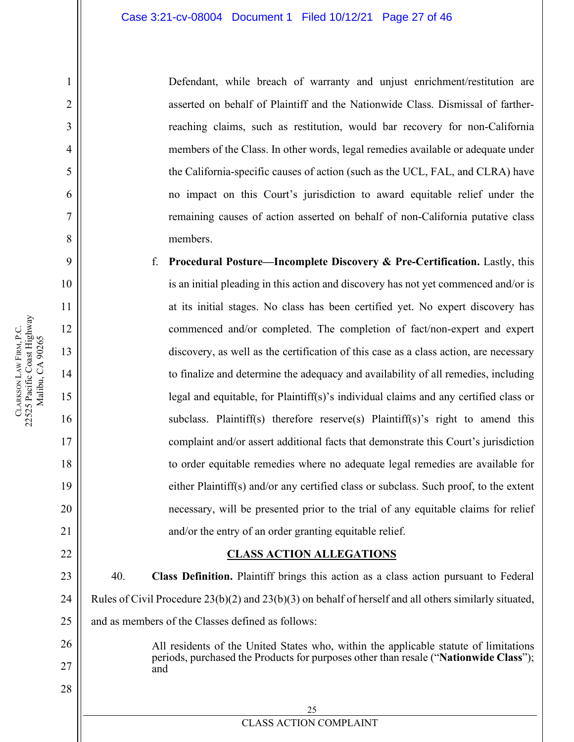Defendant, while breach of warranty and unjust enrichment/restitution are asserted on behalf of Plaintiff and the Nationwide Class. Dismissal of fartherreaching claims, such as restitution, would bar recovery for non-California members of the Class. In other words, legal remedies available or adequate under the California-specific causes of action (such as the UCL, FAL, and CLRA) have no impact on this Court's jurisdiction to award equitable relief under the remaining causes of action asserted on behalf of non-California putative class members.

f. **Procedural Posture—Incomplete Discovery & Pre-Certification.** Lastly, this is an initial pleading in this action and discovery has not yet commenced and/or is at its initial stages. No class has been certified yet. No expert discovery has commenced and/or completed. The completion of fact/non-expert and expert discovery, as well as the certification of this case as a class action, are necessary to finalize and determine the adequacy and availability of all remedies, including legal and equitable, for Plaintiff(s)'s individual claims and any certified class or subclass. Plaintiff(s) therefore reserve(s) Plaintiff(s)'s right to amend this complaint and/or assert additional facts that demonstrate this Court's jurisdiction to order equitable remedies where no adequate legal remedies are available for either Plaintiff(s) and/or any certified class or subclass. Such proof, to the extent necessary, will be presented prior to the trial of any equitable claims for relief and/or the entry of an order granting equitable relief.

#### **CLASS ACTION ALLEGATIONS**

40. **Class Definition.** Plaintiff brings this action as a class action pursuant to Federal Rules of Civil Procedure 23(b)(2) and 23(b)(3) on behalf of herself and all others similarly situated, and as members of the Classes defined as follows:

> All residents of the United States who, within the applicable statute of limitations periods, purchased the Products for purposes other than resale ("**Nationwide Class**"); and

1

2

3

4

5

6

7

8

9

10

11

12

13

14

15

16

17

18

19

20

21

<span id="page-26-0"></span>22

23

24

25

26

27

28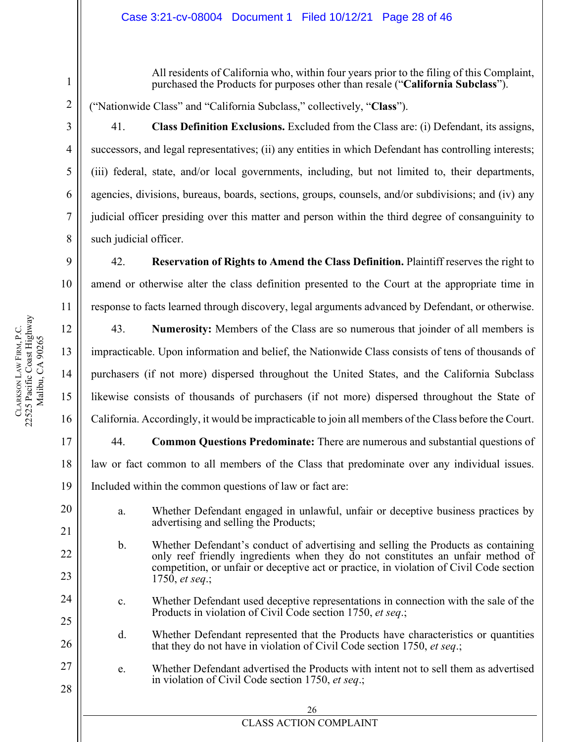All residents of California who, within four years prior to the filing of this Complaint, purchased the Products for purposes other than resale ("**California Subclass**").

("Nationwide Class" and "California Subclass," collectively, "**Class**").

41. **Class Definition Exclusions.** Excluded from the Class are: (i) Defendant, its assigns, successors, and legal representatives; (ii) any entities in which Defendant has controlling interests; (iii) federal, state, and/or local governments, including, but not limited to, their departments, agencies, divisions, bureaus, boards, sections, groups, counsels, and/or subdivisions; and (iv) any judicial officer presiding over this matter and person within the third degree of consanguinity to such judicial officer.

42. **Reservation of Rights to Amend the Class Definition.** Plaintiff reserves the right to amend or otherwise alter the class definition presented to the Court at the appropriate time in response to facts learned through discovery, legal arguments advanced by Defendant, or otherwise.

43. **Numerosity:** Members of the Class are so numerous that joinder of all members is impracticable. Upon information and belief, the Nationwide Class consists of tens of thousands of purchasers (if not more) dispersed throughout the United States, and the California Subclass likewise consists of thousands of purchasers (if not more) dispersed throughout the State of California. Accordingly, it would be impracticable to join all members of the Class before the Court.

44. **Common Questions Predominate:** There are numerous and substantial questions of law or fact common to all members of the Class that predominate over any individual issues. Included within the common questions of law or fact are:

- a. Whether Defendant engaged in unlawful, unfair or deceptive business practices by advertising and selling the Products;
- b. Whether Defendant's conduct of advertising and selling the Products as containing only reef friendly ingredients when they do not constitutes an unfair method of competition, or unfair or deceptive act or practice, in violation of Civil Code section 1750, *et seq*.;
- c. Whether Defendant used deceptive representations in connection with the sale of the Products in violation of Civil Code section 1750, *et seq*.;
- d. Whether Defendant represented that the Products have characteristics or quantities that they do not have in violation of Civil Code section 1750, *et seq*.;
- e. Whether Defendant advertised the Products with intent not to sell them as advertised in violation of Civil Code section 1750, *et seq*.;

18

19

20

21

22

23

24

25

26

27

28

**CLARKSON** 

LAW FIRM, P.C.

22525 Pacific Coast Highway Malibu, CA 90265

CLARKSON LAW FIRM, P.C.<br>22525 Pacific Coast Highway Malibu, CA 90265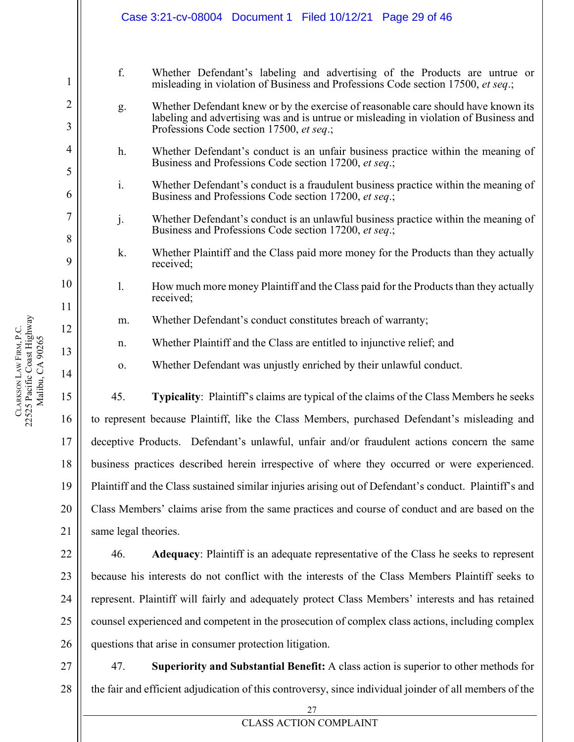|                     | Case 3:21-cv-08004 Document 1 Filed 10/12/21 Page 29 of 46                                             |                                                                                                                                                                                                                         |
|---------------------|--------------------------------------------------------------------------------------------------------|-------------------------------------------------------------------------------------------------------------------------------------------------------------------------------------------------------------------------|
|                     |                                                                                                        |                                                                                                                                                                                                                         |
| 1                   | f.                                                                                                     | Whether Defendant's labeling and advertising of the Products are untrue or<br>misleading in violation of Business and Professions Code section 17500, et seq.;                                                          |
| $\overline{2}$<br>3 | g.                                                                                                     | Whether Defendant knew or by the exercise of reasonable care should have known its<br>labeling and advertising was and is untrue or misleading in violation of Business and<br>Professions Code section 17500, et seq.; |
| 4<br>5              | h.                                                                                                     | Whether Defendant's conduct is an unfair business practice within the meaning of<br>Business and Professions Code section 17200, et seq.;                                                                               |
| 6                   | i.                                                                                                     | Whether Defendant's conduct is a fraudulent business practice within the meaning of<br>Business and Professions Code section 17200, et seq.;                                                                            |
| 7<br>8              | j.                                                                                                     | Whether Defendant's conduct is an unlawful business practice within the meaning of<br>Business and Professions Code section 17200, et seq.;                                                                             |
| 9                   | k.                                                                                                     | Whether Plaintiff and the Class paid more money for the Products than they actually<br>received;                                                                                                                        |
| 10<br>11            | 1.                                                                                                     | How much more money Plaintiff and the Class paid for the Products than they actually<br>received;                                                                                                                       |
| 12                  | m.                                                                                                     | Whether Defendant's conduct constitutes breach of warranty;                                                                                                                                                             |
| 13                  | n.                                                                                                     | Whether Plaintiff and the Class are entitled to injunctive relief; and                                                                                                                                                  |
| 14                  | 0.                                                                                                     | Whether Defendant was unjustly enriched by their unlawful conduct.                                                                                                                                                      |
| 15                  | 45.                                                                                                    | Typicality: Plaintiff's claims are typical of the claims of the Class Members he seeks                                                                                                                                  |
| 16                  |                                                                                                        | to represent because Plaintiff, like the Class Members, purchased Defendant's misleading and                                                                                                                            |
| 17                  | deceptive Products. Defendant's unlawful, unfair and/or fraudulent actions concern the same            |                                                                                                                                                                                                                         |
| 18                  | business practices described herein irrespective of where they occurred or were experienced.           |                                                                                                                                                                                                                         |
| 19                  | Plaintiff and the Class sustained similar injuries arising out of Defendant's conduct. Plaintiff's and |                                                                                                                                                                                                                         |
| 20                  | Class Members' claims arise from the same practices and course of conduct and are based on the         |                                                                                                                                                                                                                         |
| 21                  | same legal theories.                                                                                   |                                                                                                                                                                                                                         |
| 22                  | 46.                                                                                                    | Adequacy: Plaintiff is an adequate representative of the Class he seeks to represent                                                                                                                                    |

because his interests do not conflict with the interests of the Class Members Plaintiff seeks to represent. Plaintiff will fairly and adequately protect Class Members' interests and has retained counsel experienced and competent in the prosecution of complex class actions, including complex questions that arise in consumer protection litigation.

27 28 47. **Superiority and Substantial Benefit:** A class action is superior to other methods for the fair and efficient adjudication of this controversy, since individual joinder of all members of the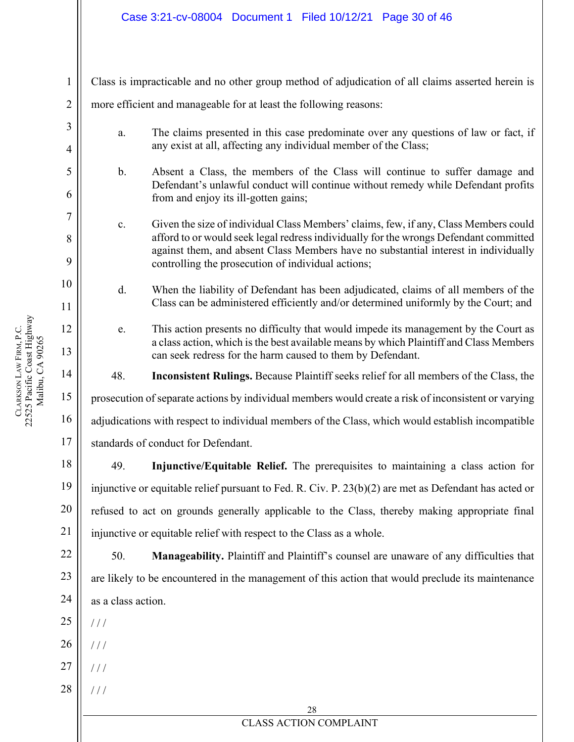#### Case 3:21-cv-08004 Document 1 Filed 10/12/21 Page 30 of 46

Class is impracticable and no other group method of adjudication of all claims asserted herein is more efficient and manageable for at least the following reasons:

- a. The claims presented in this case predominate over any questions of law or fact, if any exist at all, affecting any individual member of the Class;
- b. Absent a Class, the members of the Class will continue to suffer damage and Defendant's unlawful conduct will continue without remedy while Defendant profits from and enjoy its ill-gotten gains;
- c. Given the size of individual Class Members' claims, few, if any, Class Members could afford to or would seek legal redress individually for the wrongs Defendant committed against them, and absent Class Members have no substantial interest in individually controlling the prosecution of individual actions;
- d. When the liability of Defendant has been adjudicated, claims of all members of the Class can be administered efficiently and/or determined uniformly by the Court; and
	- e. This action presents no difficulty that would impede its management by the Court as a class action, which is the best available means by which Plaintiff and Class Members can seek redress for the harm caused to them by Defendant.

48. **Inconsistent Rulings.** Because Plaintiff seeks relief for all members of the Class, the

prosecution of separate actions by individual members would create a risk of inconsistent or varying

adjudications with respect to individual members of the Class, which would establish incompatible

standards of conduct for Defendant.

49. **Injunctive/Equitable Relief.** The prerequisites to maintaining a class action for injunctive or equitable relief pursuant to Fed. R. Civ. P. 23(b)(2) are met as Defendant has acted or refused to act on grounds generally applicable to the Class, thereby making appropriate final injunctive or equitable relief with respect to the Class as a whole.

50. **Manageability.** Plaintiff and Plaintiff's counsel are unaware of any difficulties that are likely to be encountered in the management of this action that would preclude its maintenance as a class action.

25  $1/1$ 

- 26  $/$   $/$
- 27  $/$  /  $/$
- 28 / / /

28

### CLASS ACTION COMPLAINT

1

2

3

4

5

6

7

8

9

10

11

12

13

14

15

16

17

18

19

20

21

22

23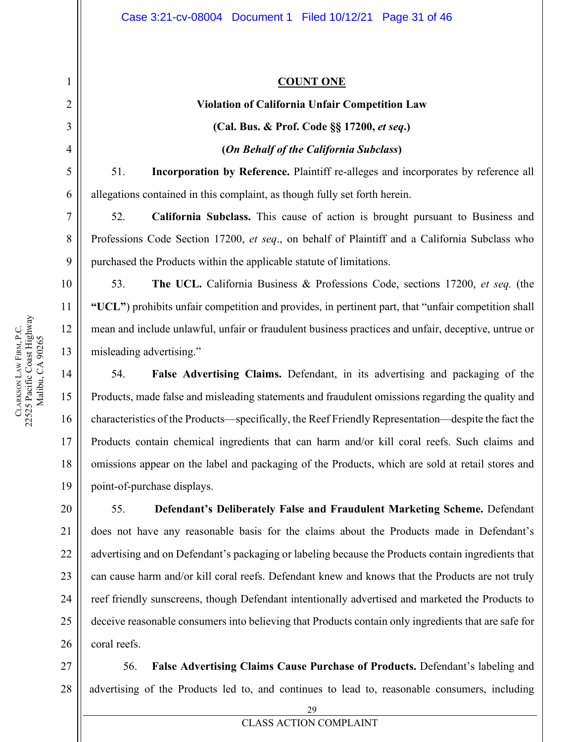### **COUNT ONE**

# **Violation of California Unfair Competition Law (Cal. Bus. & Prof. Code §§ 17200,** *et seq***.) (***On Behalf of the California Subclass***)**

51. **Incorporation by Reference.** Plaintiff re-alleges and incorporates by reference all allegations contained in this complaint, as though fully set forth herein.

52. **California Subclass.** This cause of action is brought pursuant to Business and Professions Code Section 17200, *et seq*., on behalf of Plaintiff and a California Subclass who purchased the Products within the applicable statute of limitations.

53. **The UCL.** California Business & Professions Code, sections 17200, *et seq.* (the **"UCL"**) prohibits unfair competition and provides, in pertinent part, that "unfair competition shall mean and include unlawful, unfair or fraudulent business practices and unfair, deceptive, untrue or misleading advertising."

54. **False Advertising Claims.** Defendant, in its advertising and packaging of the Products, made false and misleading statements and fraudulent omissions regarding the quality and characteristics of the Products—specifically, the Reef Friendly Representation—despite the fact the Products contain chemical ingredients that can harm and/or kill coral reefs. Such claims and omissions appear on the label and packaging of the Products, which are sold at retail stores and point-of-purchase displays.

55. **Defendant's Deliberately False and Fraudulent Marketing Scheme.** Defendant does not have any reasonable basis for the claims about the Products made in Defendant's advertising and on Defendant's packaging or labeling because the Products contain ingredients that can cause harm and/or kill coral reefs. Defendant knew and knows that the Products are not truly reef friendly sunscreens, though Defendant intentionally advertised and marketed the Products to deceive reasonable consumers into believing that Products contain only ingredients that are safe for coral reefs.

27 28 56. **False Advertising Claims Cause Purchase of Products.** Defendant's labeling and advertising of the Products led to, and continues to lead to, reasonable consumers, including

<span id="page-30-0"></span>1

2

3

4

5

6

7

8

9

10

11

12

13

14

15

16

17

18

19

20

21

22

23

24

25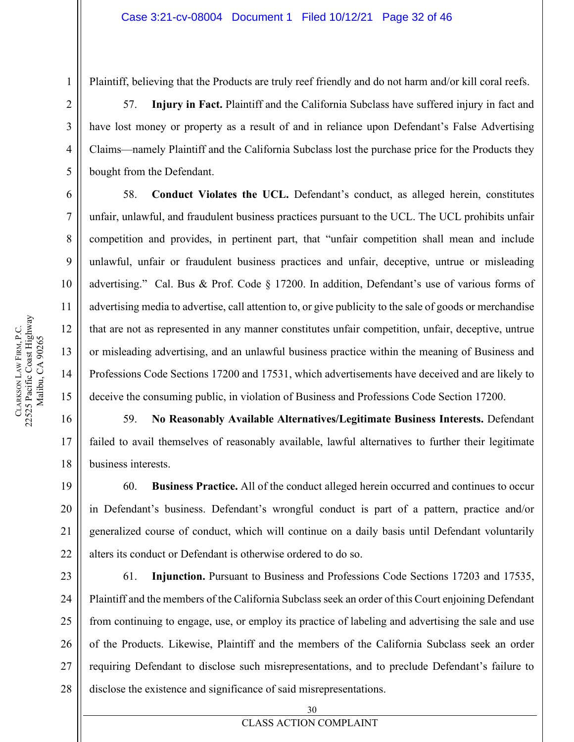1

**CLARKSON** 

LAW FIRM, P.C.

22525 Pacific Coast Highway Malibu, CA 90265

CLARKSON LAW FIRM, P.C.<br>22525 Pacific Coast Highway Malibu, CA 90265 Plaintiff, believing that the Products are truly reef friendly and do not harm and/or kill coral reefs.

57. **Injury in Fact.** Plaintiff and the California Subclass have suffered injury in fact and have lost money or property as a result of and in reliance upon Defendant's False Advertising Claims—namely Plaintiff and the California Subclass lost the purchase price for the Products they bought from the Defendant.

58. **Conduct Violates the UCL.** Defendant's conduct, as alleged herein, constitutes unfair, unlawful, and fraudulent business practices pursuant to the UCL. The UCL prohibits unfair competition and provides, in pertinent part, that "unfair competition shall mean and include unlawful, unfair or fraudulent business practices and unfair, deceptive, untrue or misleading advertising." Cal. Bus & Prof. Code § 17200. In addition, Defendant's use of various forms of advertising media to advertise, call attention to, or give publicity to the sale of goods or merchandise that are not as represented in any manner constitutes unfair competition, unfair, deceptive, untrue or misleading advertising, and an unlawful business practice within the meaning of Business and Professions Code Sections 17200 and 17531, which advertisements have deceived and are likely to deceive the consuming public, in violation of Business and Professions Code Section 17200.

59. **No Reasonably Available Alternatives/Legitimate Business Interests.** Defendant failed to avail themselves of reasonably available, lawful alternatives to further their legitimate business interests.

60. **Business Practice.** All of the conduct alleged herein occurred and continues to occur in Defendant's business. Defendant's wrongful conduct is part of a pattern, practice and/or generalized course of conduct, which will continue on a daily basis until Defendant voluntarily alters its conduct or Defendant is otherwise ordered to do so.

27 28 61. **Injunction.** Pursuant to Business and Professions Code Sections 17203 and 17535, Plaintiff and the members of the California Subclass seek an order of this Court enjoining Defendant from continuing to engage, use, or employ its practice of labeling and advertising the sale and use of the Products. Likewise, Plaintiff and the members of the California Subclass seek an order requiring Defendant to disclose such misrepresentations, and to preclude Defendant's failure to disclose the existence and significance of said misrepresentations.

17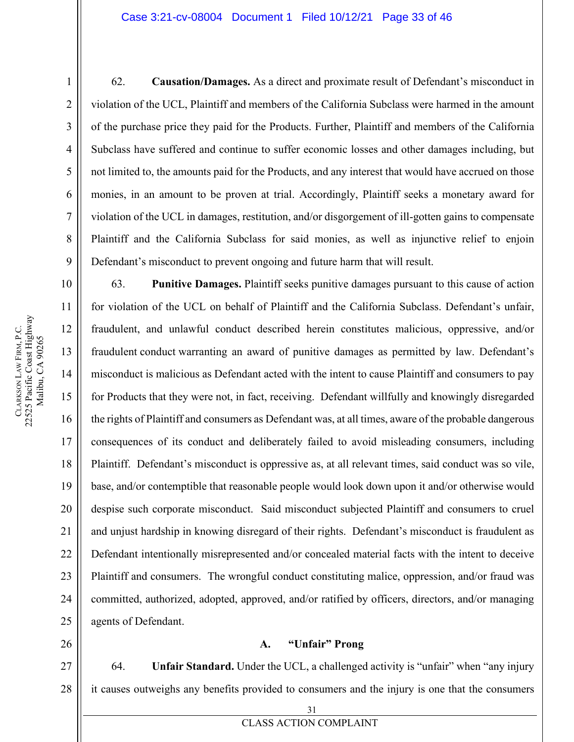#### Case 3:21-cv-08004 Document 1 Filed 10/12/21 Page 33 of 46

62. **Causation/Damages.** As a direct and proximate result of Defendant's misconduct in violation of the UCL, Plaintiff and members of the California Subclass were harmed in the amount of the purchase price they paid for the Products. Further, Plaintiff and members of the California Subclass have suffered and continue to suffer economic losses and other damages including, but not limited to, the amounts paid for the Products, and any interest that would have accrued on those monies, in an amount to be proven at trial. Accordingly, Plaintiff seeks a monetary award for violation of the UCL in damages, restitution, and/or disgorgement of ill-gotten gains to compensate Plaintiff and the California Subclass for said monies, as well as injunctive relief to enjoin Defendant's misconduct to prevent ongoing and future harm that will result.

63. **Punitive Damages.** Plaintiff seeks punitive damages pursuant to this cause of action for violation of the UCL on behalf of Plaintiff and the California Subclass. Defendant's unfair, fraudulent, and unlawful conduct described herein constitutes malicious, oppressive, and/or fraudulent conduct warranting an award of punitive damages as permitted by law. Defendant's misconduct is malicious as Defendant acted with the intent to cause Plaintiff and consumers to pay for Products that they were not, in fact, receiving. Defendant willfully and knowingly disregarded the rights of Plaintiff and consumers as Defendant was, at all times, aware of the probable dangerous consequences of its conduct and deliberately failed to avoid misleading consumers, including Plaintiff. Defendant's misconduct is oppressive as, at all relevant times, said conduct was so vile, base, and/or contemptible that reasonable people would look down upon it and/or otherwise would despise such corporate misconduct. Said misconduct subjected Plaintiff and consumers to cruel and unjust hardship in knowing disregard of their rights. Defendant's misconduct is fraudulent as Defendant intentionally misrepresented and/or concealed material facts with the intent to deceive Plaintiff and consumers. The wrongful conduct constituting malice, oppression, and/or fraud was committed, authorized, adopted, approved, and/or ratified by officers, directors, and/or managing agents of Defendant.

# **A. "Unfair" Prong**

64. **Unfair Standard.** Under the UCL, a challenged activity is "unfair" when "any injury it causes outweighs any benefits provided to consumers and the injury is one that the consumers

1

2

3

4

5

6

7

8

9

10

11

12

13

14

15

16

17

18

19

20

21

22

23

24

25

<span id="page-32-0"></span>26

27

28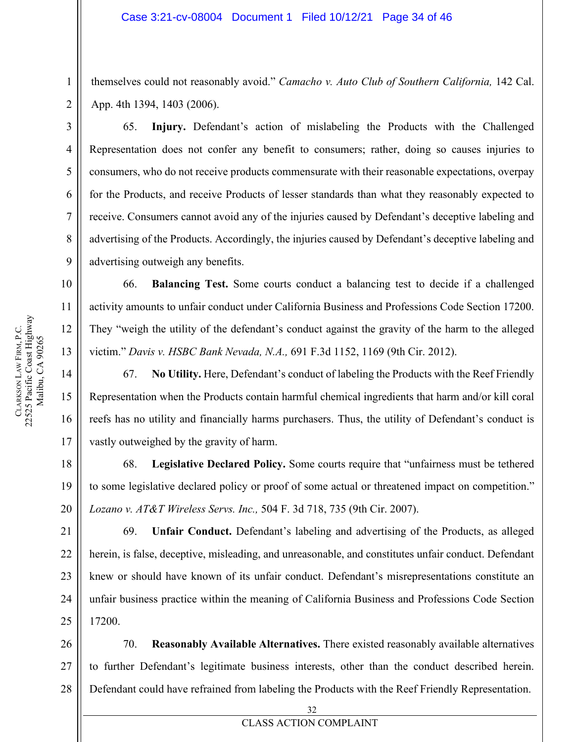themselves could not reasonably avoid." *Camacho v. Auto Club of Southern California,* 142 Cal. App. 4th 1394, 1403 (2006).

65. **Injury.** Defendant's action of mislabeling the Products with the Challenged Representation does not confer any benefit to consumers; rather, doing so causes injuries to consumers, who do not receive products commensurate with their reasonable expectations, overpay for the Products, and receive Products of lesser standards than what they reasonably expected to receive. Consumers cannot avoid any of the injuries caused by Defendant's deceptive labeling and advertising of the Products. Accordingly, the injuries caused by Defendant's deceptive labeling and advertising outweigh any benefits.

66. **Balancing Test.** Some courts conduct a balancing test to decide if a challenged activity amounts to unfair conduct under California Business and Professions Code Section 17200. They "weigh the utility of the defendant's conduct against the gravity of the harm to the alleged victim." *Davis v. HSBC Bank Nevada, N.A.,* 691 F.3d 1152, 1169 (9th Cir. 2012).

67. **No Utility.** Here, Defendant's conduct of labeling the Products with the Reef Friendly Representation when the Products contain harmful chemical ingredients that harm and/or kill coral reefs has no utility and financially harms purchasers. Thus, the utility of Defendant's conduct is vastly outweighed by the gravity of harm.

68. **Legislative Declared Policy.** Some courts require that "unfairness must be tethered to some legislative declared policy or proof of some actual or threatened impact on competition." *Lozano v. AT&T Wireless Servs. Inc.,* 504 F. 3d 718, 735 (9th Cir. 2007).

69. **Unfair Conduct.** Defendant's labeling and advertising of the Products, as alleged herein, is false, deceptive, misleading, and unreasonable, and constitutes unfair conduct. Defendant knew or should have known of its unfair conduct. Defendant's misrepresentations constitute an unfair business practice within the meaning of California Business and Professions Code Section 17200.

28 70. **Reasonably Available Alternatives.** There existed reasonably available alternatives to further Defendant's legitimate business interests, other than the conduct described herein. Defendant could have refrained from labeling the Products with the Reef Friendly Representation.

1

2

3

4

5

6

7

8

9

10

11

12

13

14

15

16

17

18

19

20

32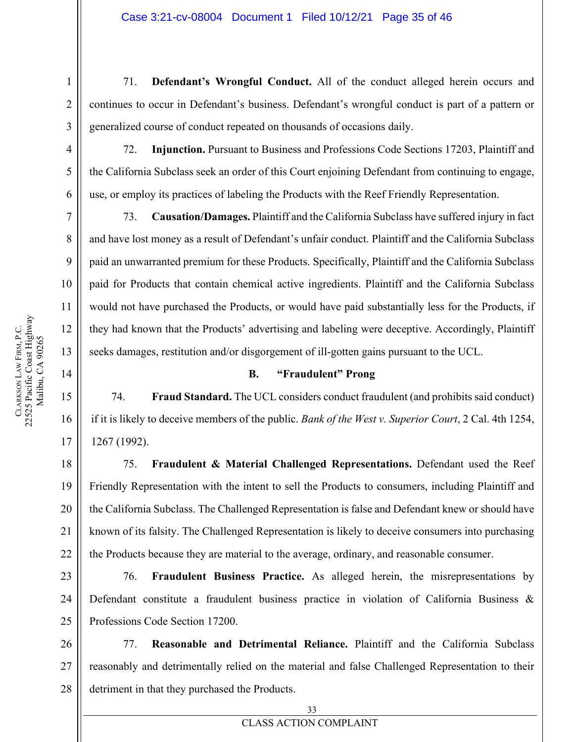71. **Defendant's Wrongful Conduct.** All of the conduct alleged herein occurs and continues to occur in Defendant's business. Defendant's wrongful conduct is part of a pattern or generalized course of conduct repeated on thousands of occasions daily.

72. **Injunction.** Pursuant to Business and Professions Code Sections 17203, Plaintiff and the California Subclass seek an order of this Court enjoining Defendant from continuing to engage, use, or employ its practices of labeling the Products with the Reef Friendly Representation.

73. **Causation/Damages.** Plaintiff and the California Subclass have suffered injury in fact and have lost money as a result of Defendant's unfair conduct. Plaintiff and the California Subclass paid an unwarranted premium for these Products. Specifically, Plaintiff and the California Subclass paid for Products that contain chemical active ingredients. Plaintiff and the California Subclass would not have purchased the Products, or would have paid substantially less for the Products, if they had known that the Products' advertising and labeling were deceptive. Accordingly, Plaintiff seeks damages, restitution and/or disgorgement of ill-gotten gains pursuant to the UCL.

# **B. "Fraudulent" Prong**

74. **Fraud Standard.** The UCL considers conduct fraudulent (and prohibits said conduct) if it is likely to deceive members of the public. *Bank of the West v. Superior Court*, 2 Cal. 4th 1254, 1267 (1992).

75. **Fraudulent & Material Challenged Representations.** Defendant used the Reef Friendly Representation with the intent to sell the Products to consumers, including Plaintiff and the California Subclass. The Challenged Representation is false and Defendant knew or should have known of its falsity. The Challenged Representation is likely to deceive consumers into purchasing the Products because they are material to the average, ordinary, and reasonable consumer.

76. **Fraudulent Business Practice.** As alleged herein, the misrepresentations by Defendant constitute a fraudulent business practice in violation of California Business & Professions Code Section 17200.

77. **Reasonable and Detrimental Reliance.** Plaintiff and the California Subclass reasonably and detrimentally relied on the material and false Challenged Representation to their detriment in that they purchased the Products.

1

2

3

4

5

6

7

8

9

10

11

12

13

<span id="page-34-0"></span>14

15

16

17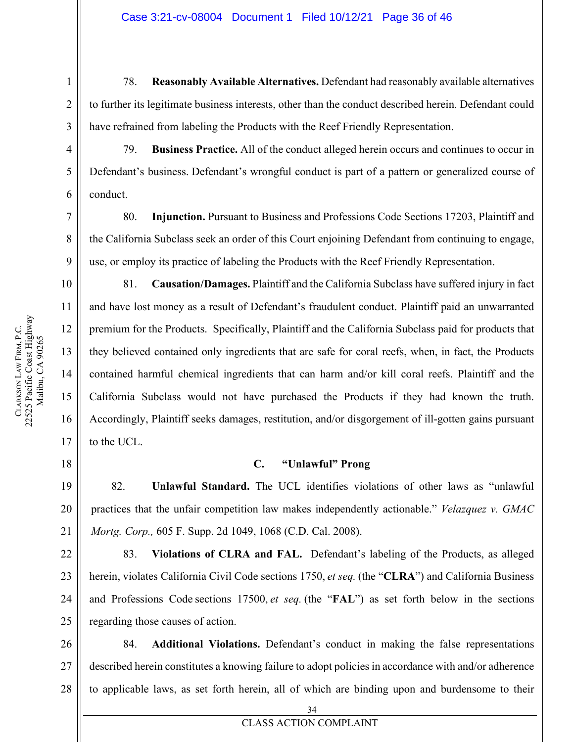78. **Reasonably Available Alternatives.** Defendant had reasonably available alternatives to further its legitimate business interests, other than the conduct described herein. Defendant could have refrained from labeling the Products with the Reef Friendly Representation.

79. **Business Practice.** All of the conduct alleged herein occurs and continues to occur in Defendant's business. Defendant's wrongful conduct is part of a pattern or generalized course of conduct.

80. **Injunction.** Pursuant to Business and Professions Code Sections 17203, Plaintiff and the California Subclass seek an order of this Court enjoining Defendant from continuing to engage, use, or employ its practice of labeling the Products with the Reef Friendly Representation.

81. **Causation/Damages.** Plaintiff and the California Subclass have suffered injury in fact and have lost money as a result of Defendant's fraudulent conduct. Plaintiff paid an unwarranted premium for the Products. Specifically, Plaintiff and the California Subclass paid for products that they believed contained only ingredients that are safe for coral reefs, when, in fact, the Products contained harmful chemical ingredients that can harm and/or kill coral reefs. Plaintiff and the California Subclass would not have purchased the Products if they had known the truth. Accordingly, Plaintiff seeks damages, restitution, and/or disgorgement of ill-gotten gains pursuant to the UCL.

# **C. "Unlawful" Prong**

<span id="page-35-0"></span>82. **Unlawful Standard.** The UCL identifies violations of other laws as "unlawful practices that the unfair competition law makes independently actionable." *Velazquez v. GMAC Mortg. Corp.,* 605 F. Supp. 2d 1049, 1068 (C.D. Cal. 2008).

83. **Violations of CLRA and FAL.** Defendant's labeling of the Products, as alleged herein, violates California Civil Code sections 1750, et seq. (the "**CLRA**") and California Business and Professions Code sections 17500, et seq. (the "**FAL**") as set forth below in the sections regarding those causes of action.

27 28 84. **Additional Violations.** Defendant's conduct in making the false representations described herein constitutes a knowing failure to adopt policies in accordance with and/or adherence to applicable laws, as set forth herein, all of which are binding upon and burdensome to their

**CLARKSON** 

LAW FIRM, P.C.

22525 Pacific Coast Highway Malibu, CA 90265

CLARKSON LAW FIRM, P.C.<br>22525 Pacific Coast Highway Malibu, CA 90265

19

20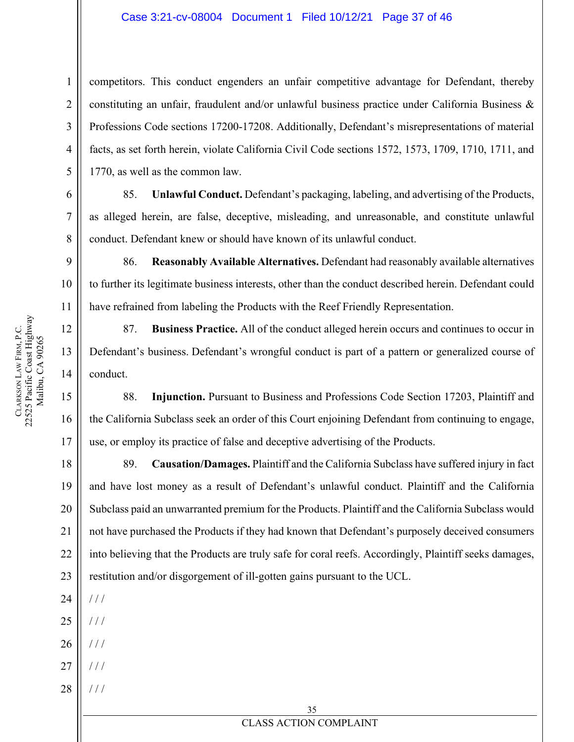#### Case 3:21-cv-08004 Document 1 Filed 10/12/21 Page 37 of 46

competitors. This conduct engenders an unfair competitive advantage for Defendant, thereby constituting an unfair, fraudulent and/or unlawful business practice under California Business & Professions Code sections 17200-17208. Additionally, Defendant's misrepresentations of material facts, as set forth herein, violate California Civil Code sections 1572, 1573, 1709, 1710, 1711, and 1770, as well as the common law.

85. **Unlawful Conduct.** Defendant's packaging, labeling, and advertising of the Products, as alleged herein, are false, deceptive, misleading, and unreasonable, and constitute unlawful conduct. Defendant knew or should have known of its unlawful conduct.

86. **Reasonably Available Alternatives.** Defendant had reasonably available alternatives to further its legitimate business interests, other than the conduct described herein. Defendant could have refrained from labeling the Products with the Reef Friendly Representation.

87. **Business Practice.** All of the conduct alleged herein occurs and continues to occur in Defendant's business. Defendant's wrongful conduct is part of a pattern or generalized course of conduct.

88. **Injunction.** Pursuant to Business and Professions Code Section 17203, Plaintiff and the California Subclass seek an order of this Court enjoining Defendant from continuing to engage, use, or employ its practice of false and deceptive advertising of the Products.

18 19 20 21 22 23 89. **Causation/Damages.** Plaintiff and the California Subclass have suffered injury in fact and have lost money as a result of Defendant's unlawful conduct. Plaintiff and the California Subclass paid an unwarranted premium for the Products. Plaintiff and the California Subclass would not have purchased the Products if they had known that Defendant's purposely deceived consumers into believing that the Products are truly safe for coral reefs. Accordingly, Plaintiff seeks damages, restitution and/or disgorgement of ill-gotten gains pursuant to the UCL.

24 / / /

25  $/$  /  $/$ 

- 26 / / /
- 27 / / /
- 28 / / /

16

17

1

2

3

4

5

6

7

**CLARKSON** 

LAW FIRM, P.C.

22525 Pacific Coast Highway Malibu, CA 90265

CLARKSON LAW FIRM, P.C.<br>22525 Pacific Coast Highway Malibu, CA 90265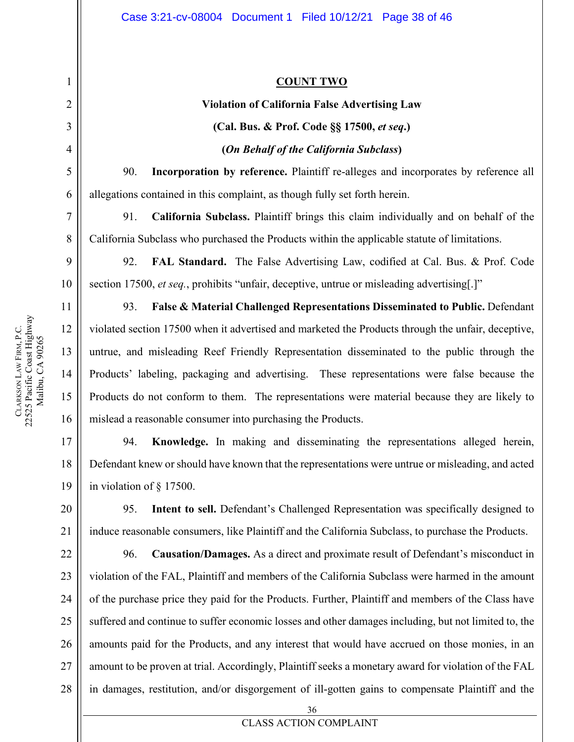# **COUNT TWO**

# **Violation of California False Advertising Law (Cal. Bus. & Prof. Code §§ 17500,** *et seq***.) (***On Behalf of the California Subclass***)**

90. **Incorporation by reference.** Plaintiff re-alleges and incorporates by reference all allegations contained in this complaint, as though fully set forth herein.

91. **California Subclass.** Plaintiff brings this claim individually and on behalf of the California Subclass who purchased the Products within the applicable statute of limitations.

92. **FAL Standard.** The False Advertising Law, codified at Cal. Bus. & Prof. Code section 17500, *et seq.*, prohibits "unfair, deceptive, untrue or misleading advertising[.]"

93. **False & Material Challenged Representations Disseminated to Public.** Defendant violated section 17500 when it advertised and marketed the Products through the unfair, deceptive, untrue, and misleading Reef Friendly Representation disseminated to the public through the Products' labeling, packaging and advertising. These representations were false because the Products do not conform to them. The representations were material because they are likely to mislead a reasonable consumer into purchasing the Products.

17 18 19 94. **Knowledge.** In making and disseminating the representations alleged herein, Defendant knew or should have known that the representations were untrue or misleading, and acted in violation of § 17500.

95. **Intent to sell.** Defendant's Challenged Representation was specifically designed to induce reasonable consumers, like Plaintiff and the California Subclass, to purchase the Products.

22 23 24 25 26 27 96. **Causation/Damages.** As a direct and proximate result of Defendant's misconduct in violation of the FAL, Plaintiff and members of the California Subclass were harmed in the amount of the purchase price they paid for the Products. Further, Plaintiff and members of the Class have suffered and continue to suffer economic losses and other damages including, but not limited to, the amounts paid for the Products, and any interest that would have accrued on those monies, in an amount to be proven at trial. Accordingly, Plaintiff seeks a monetary award for violation of the FAL in damages, restitution, and/or disgorgement of ill-gotten gains to compensate Plaintiff and the

<span id="page-37-0"></span>1

2

3

4

5

6

7

8

9

10

11

12

13

14

15

16

20

21

28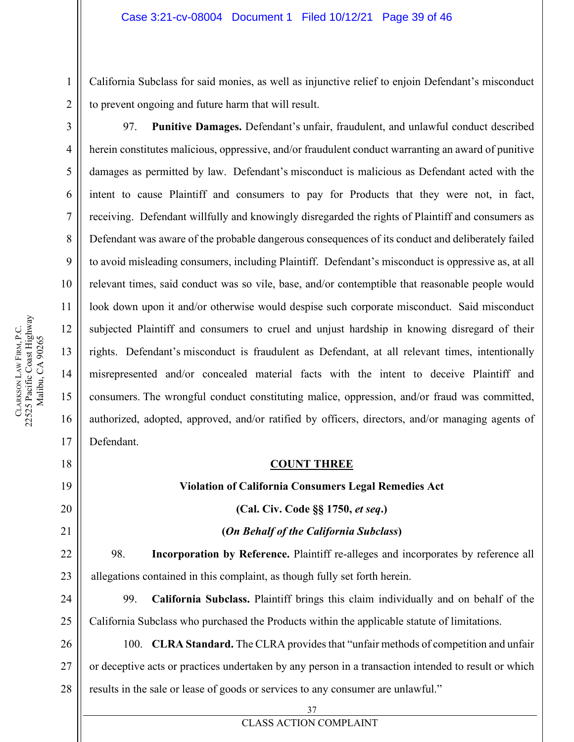California Subclass for said monies, as well as injunctive relief to enjoin Defendant's misconduct to prevent ongoing and future harm that will result.

97. **Punitive Damages.** Defendant's unfair, fraudulent, and unlawful conduct described herein constitutes malicious, oppressive, and/or fraudulent conduct warranting an award of punitive damages as permitted by law. Defendant's misconduct is malicious as Defendant acted with the intent to cause Plaintiff and consumers to pay for Products that they were not, in fact, receiving. Defendant willfully and knowingly disregarded the rights of Plaintiff and consumers as Defendant was aware of the probable dangerous consequences of its conduct and deliberately failed to avoid misleading consumers, including Plaintiff. Defendant's misconduct is oppressive as, at all relevant times, said conduct was so vile, base, and/or contemptible that reasonable people would look down upon it and/or otherwise would despise such corporate misconduct. Said misconduct subjected Plaintiff and consumers to cruel and unjust hardship in knowing disregard of their rights. Defendant's misconduct is fraudulent as Defendant, at all relevant times, intentionally misrepresented and/or concealed material facts with the intent to deceive Plaintiff and consumers. The wrongful conduct constituting malice, oppression, and/or fraud was committed, authorized, adopted, approved, and/or ratified by officers, directors, and/or managing agents of Defendant.

#### **COUNT THREE**

#### **Violation of California Consumers Legal Remedies Act**

**(Cal. Civ. Code §§ 1750,** *et seq***.)**

#### **(***On Behalf of the California Subclass***)**

98. **Incorporation by Reference.** Plaintiff re-alleges and incorporates by reference all allegations contained in this complaint, as though fully set forth herein.

24 25 99. **California Subclass.** Plaintiff brings this claim individually and on behalf of the California Subclass who purchased the Products within the applicable statute of limitations.

26 27 28 100. **CLRA Standard.** The CLRA provides that "unfair methods of competition and unfair or deceptive acts or practices undertaken by any person in a transaction intended to result or which results in the sale or lease of goods or services to any consumer are unlawful."

1

2

3

4

5

6

7

8

9

10

11

12

13

14

15

16

17

<span id="page-38-0"></span>18

19

20

21

22

23

37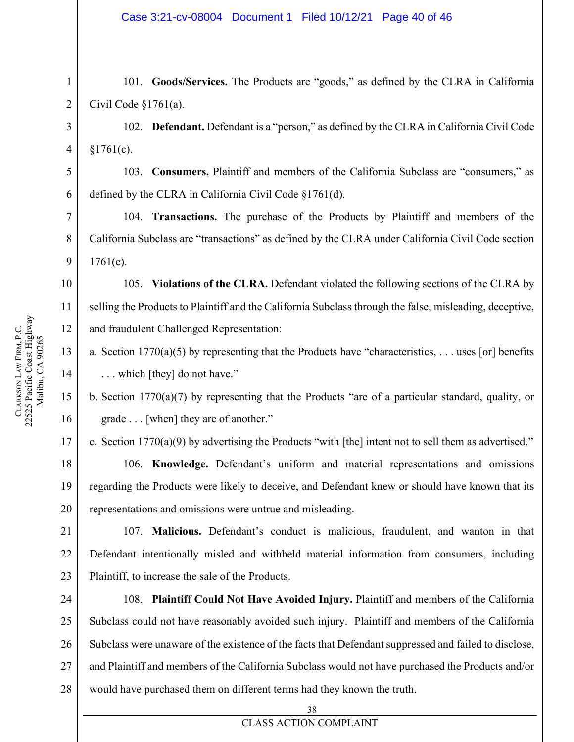101. **Goods/Services.** The Products are "goods," as defined by the CLRA in California Civil Code §1761(a).

102. **Defendant.** Defendant is a "person," as defined by the CLRA in California Civil Code  $§1761(c).$ 

103. **Consumers.** Plaintiff and members of the California Subclass are "consumers," as defined by the CLRA in California Civil Code §1761(d).

104. **Transactions.** The purchase of the Products by Plaintiff and members of the California Subclass are "transactions" as defined by the CLRA under California Civil Code section  $1761(e)$ .

105. **Violations of the CLRA.** Defendant violated the following sections of the CLRA by selling the Products to Plaintiff and the California Subclass through the false, misleading, deceptive, and fraudulent Challenged Representation:

a. Section  $1770(a)(5)$  by representing that the Products have "characteristics, ... uses [or] benefits . . . which [they] do not have."

b. Section 1770(a)(7) by representing that the Products "are of a particular standard, quality, or grade . . . [when] they are of another."

17 c. Section 1770(a)(9) by advertising the Products "with [the] intent not to sell them as advertised."

106. **Knowledge.** Defendant's uniform and material representations and omissions regarding the Products were likely to deceive, and Defendant knew or should have known that its representations and omissions were untrue and misleading.

107. **Malicious.** Defendant's conduct is malicious, fraudulent, and wanton in that Defendant intentionally misled and withheld material information from consumers, including Plaintiff, to increase the sale of the Products.

108. **Plaintiff Could Not Have Avoided Injury.** Plaintiff and members of the California Subclass could not have reasonably avoided such injury. Plaintiff and members of the California Subclass were unaware of the existence of the facts that Defendant suppressed and failed to disclose, and Plaintiff and members of the California Subclass would not have purchased the Products and/or would have purchased them on different terms had they known the truth.

1

2

3

4

5

6

7

8

9

10

11

12

13

14

15

16

18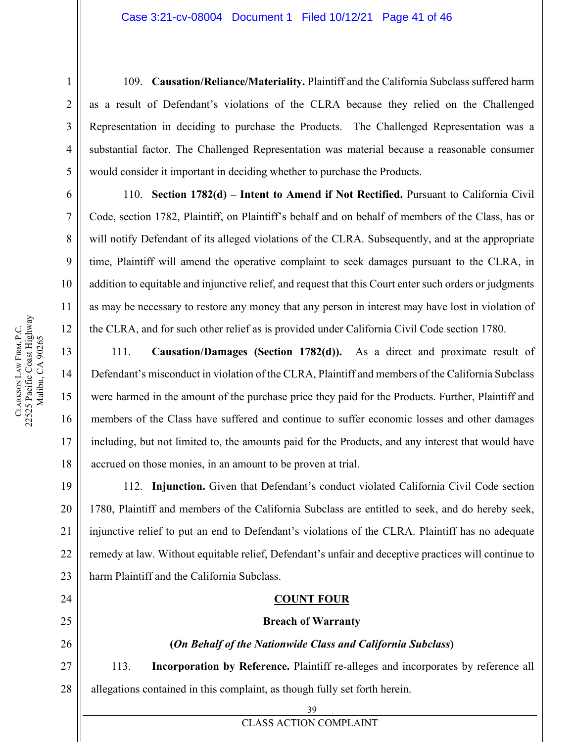109. **Causation/Reliance/Materiality.** Plaintiff and the California Subclass suffered harm as a result of Defendant's violations of the CLRA because they relied on the Challenged Representation in deciding to purchase the Products. The Challenged Representation was a substantial factor. The Challenged Representation was material because a reasonable consumer would consider it important in deciding whether to purchase the Products.

110. **Section 1782(d) – Intent to Amend if Not Rectified.** Pursuant to California Civil Code, section 1782, Plaintiff, on Plaintiff's behalf and on behalf of members of the Class, has or will notify Defendant of its alleged violations of the CLRA. Subsequently, and at the appropriate time, Plaintiff will amend the operative complaint to seek damages pursuant to the CLRA, in addition to equitable and injunctive relief, and request that this Court enter such orders or judgments as may be necessary to restore any money that any person in interest may have lost in violation of the CLRA, and for such other relief as is provided under California Civil Code section 1780.

111. **Causation/Damages (Section 1782(d)).** As a direct and proximate result of Defendant's misconduct in violation of the CLRA, Plaintiff and members of the California Subclass were harmed in the amount of the purchase price they paid for the Products. Further, Plaintiff and members of the Class have suffered and continue to suffer economic losses and other damages including, but not limited to, the amounts paid for the Products, and any interest that would have accrued on those monies, in an amount to be proven at trial.

112. **Injunction.** Given that Defendant's conduct violated California Civil Code section 1780, Plaintiff and members of the California Subclass are entitled to seek, and do hereby seek, injunctive relief to put an end to Defendant's violations of the CLRA. Plaintiff has no adequate remedy at law. Without equitable relief, Defendant's unfair and deceptive practices will continue to harm Plaintiff and the California Subclass.

# **COUNT FOUR**

# **Breach of Warranty**

# **(***On Behalf of the Nationwide Class and California Subclass***)**

27 113. **Incorporation by Reference.** Plaintiff re-alleges and incorporates by reference all allegations contained in this complaint, as though fully set forth herein.

17

18

19

20

21

22

23

<span id="page-40-0"></span>24

25

26

1

2

**CLARKSON** 

LAW FIRM, P.C.

22525 Pacific Coast Highway Malibu, CA 90265

CLARKSON LAW FIRM, P.C.<br>22525 Pacific Coast Highway Malibu, CA 90265

28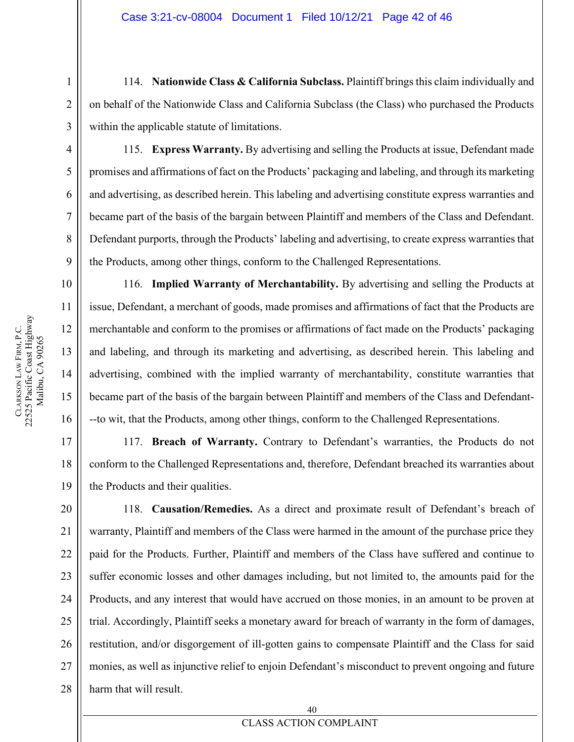114. **Nationwide Class & California Subclass.** Plaintiff brings this claim individually and on behalf of the Nationwide Class and California Subclass (the Class) who purchased the Products within the applicable statute of limitations.

9

10

11

12

13

14

15

16

17

18

19

1

2

3

115. **Express Warranty.** By advertising and selling the Products at issue, Defendant made promises and affirmations of fact on the Products' packaging and labeling, and through its marketing and advertising, as described herein. This labeling and advertising constitute express warranties and became part of the basis of the bargain between Plaintiff and members of the Class and Defendant. Defendant purports, through the Products' labeling and advertising, to create express warranties that the Products, among other things, conform to the Challenged Representations.

116. **Implied Warranty of Merchantability.** By advertising and selling the Products at issue, Defendant, a merchant of goods, made promises and affirmations of fact that the Products are merchantable and conform to the promises or affirmations of fact made on the Products' packaging and labeling, and through its marketing and advertising, as described herein. This labeling and advertising, combined with the implied warranty of merchantability, constitute warranties that became part of the basis of the bargain between Plaintiff and members of the Class and Defendant- --to wit, that the Products, among other things, conform to the Challenged Representations.

117. **Breach of Warranty.** Contrary to Defendant's warranties, the Products do not conform to the Challenged Representations and, therefore, Defendant breached its warranties about the Products and their qualities.

20 21 22 23 24 25 26 27 28 118. **Causation/Remedies.** As a direct and proximate result of Defendant's breach of warranty, Plaintiff and members of the Class were harmed in the amount of the purchase price they paid for the Products. Further, Plaintiff and members of the Class have suffered and continue to suffer economic losses and other damages including, but not limited to, the amounts paid for the Products, and any interest that would have accrued on those monies, in an amount to be proven at trial. Accordingly, Plaintiff seeks a monetary award for breach of warranty in the form of damages, restitution, and/or disgorgement of ill-gotten gains to compensate Plaintiff and the Class for said monies, as well as injunctive relief to enjoin Defendant's misconduct to prevent ongoing and future harm that will result.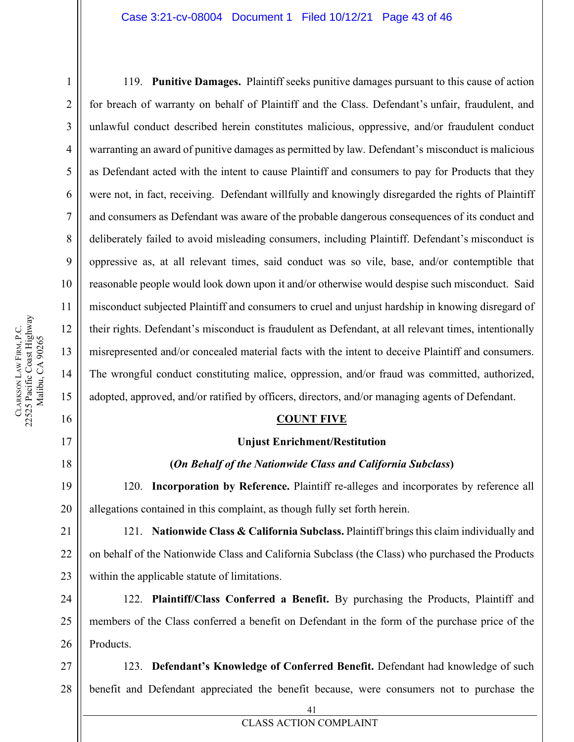#### Case 3:21-cv-08004 Document 1 Filed 10/12/21 Page 43 of 46

119. **Punitive Damages.** Plaintiff seeks punitive damages pursuant to this cause of action for breach of warranty on behalf of Plaintiff and the Class. Defendant's unfair, fraudulent, and unlawful conduct described herein constitutes malicious, oppressive, and/or fraudulent conduct warranting an award of punitive damages as permitted by law. Defendant's misconduct is malicious as Defendant acted with the intent to cause Plaintiff and consumers to pay for Products that they were not, in fact, receiving. Defendant willfully and knowingly disregarded the rights of Plaintiff and consumers as Defendant was aware of the probable dangerous consequences of its conduct and deliberately failed to avoid misleading consumers, including Plaintiff. Defendant's misconduct is oppressive as, at all relevant times, said conduct was so vile, base, and/or contemptible that reasonable people would look down upon it and/or otherwise would despise such misconduct. Said misconduct subjected Plaintiff and consumers to cruel and unjust hardship in knowing disregard of their rights. Defendant's misconduct is fraudulent as Defendant, at all relevant times, intentionally misrepresented and/or concealed material facts with the intent to deceive Plaintiff and consumers. The wrongful conduct constituting malice, oppression, and/or fraud was committed, authorized, adopted, approved, and/or ratified by officers, directors, and/or managing agents of Defendant.

#### **COUNT FIVE**

#### **Unjust Enrichment/Restitution**

#### **(***On Behalf of the Nationwide Class and California Subclass***)**

120. **Incorporation by Reference.** Plaintiff re-alleges and incorporates by reference all allegations contained in this complaint, as though fully set forth herein.

121. **Nationwide Class & California Subclass.** Plaintiff brings this claim individually and on behalf of the Nationwide Class and California Subclass (the Class) who purchased the Products within the applicable statute of limitations.

24 25 26 122. **Plaintiff/Class Conferred a Benefit.** By purchasing the Products, Plaintiff and members of the Class conferred a benefit on Defendant in the form of the purchase price of the Products.

27 28 123. **Defendant's Knowledge of Conferred Benefit.** Defendant had knowledge of such benefit and Defendant appreciated the benefit because, were consumers not to purchase the

1

2

3

4

5

6

7

8

9

10

11

12

13

14

15

<span id="page-42-0"></span>16

17

18

19

20

21

22

23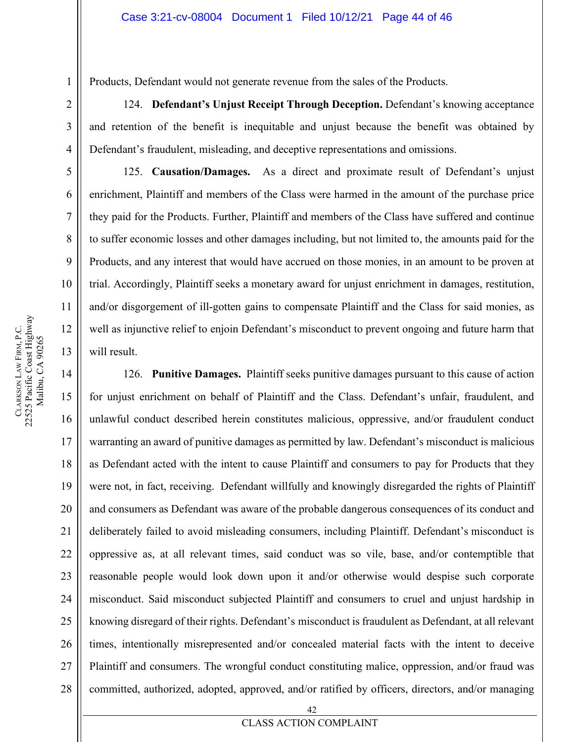Products, Defendant would not generate revenue from the sales of the Products.

124. **Defendant's Unjust Receipt Through Deception.** Defendant's knowing acceptance and retention of the benefit is inequitable and unjust because the benefit was obtained by Defendant's fraudulent, misleading, and deceptive representations and omissions.

125. **Causation/Damages.** As a direct and proximate result of Defendant's unjust enrichment, Plaintiff and members of the Class were harmed in the amount of the purchase price they paid for the Products. Further, Plaintiff and members of the Class have suffered and continue to suffer economic losses and other damages including, but not limited to, the amounts paid for the Products, and any interest that would have accrued on those monies, in an amount to be proven at trial. Accordingly, Plaintiff seeks a monetary award for unjust enrichment in damages, restitution, and/or disgorgement of ill-gotten gains to compensate Plaintiff and the Class for said monies, as well as injunctive relief to enjoin Defendant's misconduct to prevent ongoing and future harm that will result.

126. **Punitive Damages.** Plaintiff seeks punitive damages pursuant to this cause of action for unjust enrichment on behalf of Plaintiff and the Class. Defendant's unfair, fraudulent, and unlawful conduct described herein constitutes malicious, oppressive, and/or fraudulent conduct warranting an award of punitive damages as permitted by law. Defendant's misconduct is malicious as Defendant acted with the intent to cause Plaintiff and consumers to pay for Products that they were not, in fact, receiving. Defendant willfully and knowingly disregarded the rights of Plaintiff and consumers as Defendant was aware of the probable dangerous consequences of its conduct and deliberately failed to avoid misleading consumers, including Plaintiff. Defendant's misconduct is oppressive as, at all relevant times, said conduct was so vile, base, and/or contemptible that reasonable people would look down upon it and/or otherwise would despise such corporate misconduct. Said misconduct subjected Plaintiff and consumers to cruel and unjust hardship in knowing disregard of their rights. Defendant's misconduct is fraudulent as Defendant, at all relevant times, intentionally misrepresented and/or concealed material facts with the intent to deceive Plaintiff and consumers. The wrongful conduct constituting malice, oppression, and/or fraud was committed, authorized, adopted, approved, and/or ratified by officers, directors, and/or managing

1

2

3

4

5

6

7

8

9

10

11

12

13

14

15

16

17

18

19

20

21

22

23

24

25

26

27

28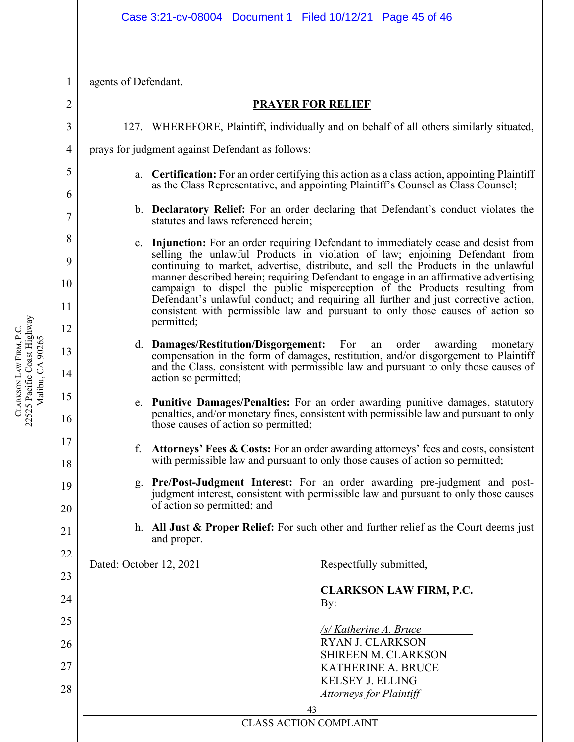<span id="page-44-0"></span>agents of Defendant.

### **PRAYER FOR RELIEF**

127. WHEREFORE, Plaintiff, individually and on behalf of all others similarly situated,

prays for judgment against Defendant as follows:

- a. **Certification:** For an order certifying this action as a class action, appointing Plaintiff as the Class Representative, and appointing Plaintiff's Counsel as Class Counsel;
- b. **Declaratory Relief:** For an order declaring that Defendant's conduct violates the statutes and laws referenced herein;
- c. **Injunction:** For an order requiring Defendant to immediately cease and desist from selling the unlawful Products in violation of law; enjoining Defendant from continuing to market, advertise, distribute, and sell the Products in the unlawful manner described herein; requiring Defendant to engage in an affirmative advertising campaign to dispel the public misperception of the Products resulting from Defendant's unlawful conduct; and requiring all further and just corrective action, consistent with permissible law and pursuant to only those causes of action so permitted;
- d. **Damages/Restitution/Disgorgement:** For an order awarding monetary compensation in the form of damages, restitution, and/or disgorgement to Plaintiff and the Class, consistent with permissible law and pursuant to only those causes of action so permitted;
- e. **Punitive Damages/Penalties:** For an order awarding punitive damages, statutory penalties, and/or monetary fines, consistent with permissible law and pursuant to only those causes of action so permitted;
- f. **Attorneys' Fees & Costs:** For an order awarding attorneys' fees and costs, consistent with permissible law and pursuant to only those causes of action so permitted;
- g. **Pre/Post-Judgment Interest:** For an order awarding pre-judgment and postjudgment interest, consistent with permissible law and pursuant to only those causes of action so permitted; and
- h. **All Just & Proper Relief:** For such other and further relief as the Court deems just and proper.

Dated: October 12, 2021 Respectfully submitted,

**CLARKSON LAW FIRM, P.C.** By:

*/s/ Katherine A. Bruce* RYAN J. CLARKSON SHIREEN M. CLARKSON KATHERINE A. BRUCE KELSEY J. ELLING *Attorneys for Plaintiff*

CLASS ACTION COMPLAINT

22525 Pacific Coast Highway CLARKSON LAW FIRM, P.C.<br>22525 Pacific Coast Highway LAW FIRM, P.C. Malibu, CA 90265 Malibu, CA 90265 **CLARKSON** 

1 2

3

4

5

6

7

8

9

10

11

12

13

14

15

16

17

18

19

20

21

22

23

24

25

26

27